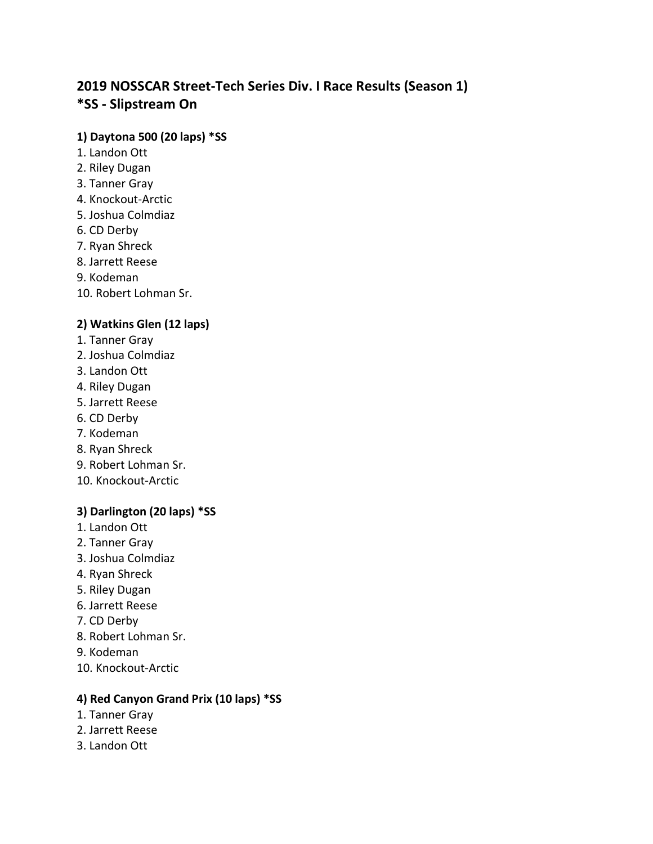# **2019 NOSSCAR Street-Tech Series Div. I Race Results (Season 1) \*SS - Slipstream On**

#### **1) Daytona 500 (20 laps) \*SS**

- 1. Landon Ott
- 2. Riley Dugan
- 3. Tanner Gray
- 4. Knockout-Arctic
- 5. Joshua Colmdiaz
- 6. CD Derby
- 7. Ryan Shreck
- 8. Jarrett Reese
- 9. Kodeman
- 10. Robert Lohman Sr.

# **2) Watkins Glen (12 laps)**

- 1. Tanner Gray
- 2. Joshua Colmdiaz
- 3. Landon Ott
- 4. Riley Dugan
- 5. Jarrett Reese
- 6. CD Derby
- 7. Kodeman
- 8. Ryan Shreck
- 9. Robert Lohman Sr.
- 10. Knockout-Arctic

# **3) Darlington (20 laps) \*SS**

- 1. Landon Ott
- 2. Tanner Gray
- 3. Joshua Colmdiaz
- 4. Ryan Shreck
- 5. Riley Dugan
- 6. Jarrett Reese
- 7. CD Derby
- 8. Robert Lohman Sr.
- 9. Kodeman
- 10. Knockout-Arctic

#### **4) Red Canyon Grand Prix (10 laps) \*SS**

- 1. Tanner Gray
- 2. Jarrett Reese
- 3. Landon Ott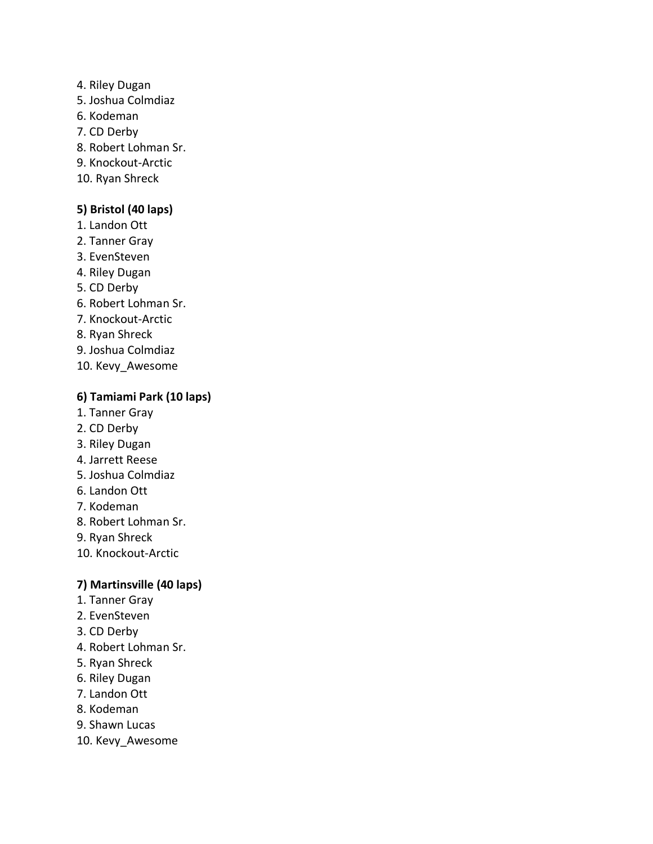- 4. Riley Dugan
- 5. Joshua Colmdiaz
- 6. Kodeman
- 7. CD Derby
- 8. Robert Lohman Sr.
- 9. Knockout-Arctic
- 10. Ryan Shreck

#### **5) Bristol (40 laps)**

- 1. Landon Ott
- 2. Tanner Gray
- 3. EvenSteven
- 4. Riley Dugan
- 5. CD Derby
- 6. Robert Lohman Sr.
- 7. Knockout-Arctic
- 8. Ryan Shreck
- 9. Joshua Colmdiaz
- 10. Kevy\_Awesome

# **6) Tamiami Park (10 laps)**

- 1. Tanner Gray
- 2. CD Derby
- 3. Riley Dugan
- 4. Jarrett Reese
- 5. Joshua Colmdiaz
- 6. Landon Ott
- 7. Kodeman
- 8. Robert Lohman Sr.
- 9. Ryan Shreck
- 10. Knockout-Arctic

# **7) Martinsville (40 laps)**

- 1. Tanner Gray
- 2. EvenSteven
- 3. CD Derby
- 4. Robert Lohman Sr.
- 5. Ryan Shreck
- 6. Riley Dugan
- 7. Landon Ott
- 8. Kodeman
- 9. Shawn Lucas
- 10. Kevy\_Awesome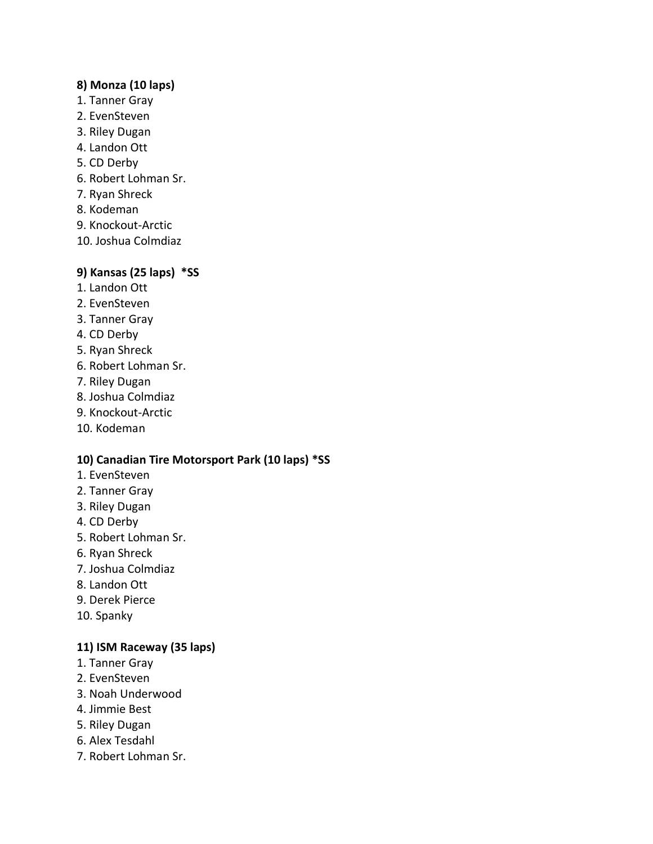## **8) Monza (10 laps)**

- 1. Tanner Gray
- 2. EvenSteven
- 3. Riley Dugan
- 4. Landon Ott
- 5. CD Derby
- 6. Robert Lohman Sr.
- 7. Ryan Shreck
- 8. Kodeman
- 9. Knockout-Arctic
- 10. Joshua Colmdiaz

# **9) Kansas (25 laps) \*SS**

- 1. Landon Ott
- 2. EvenSteven
- 3. Tanner Gray
- 4. CD Derby
- 5. Ryan Shreck
- 6. Robert Lohman Sr.
- 7. Riley Dugan
- 8. Joshua Colmdiaz
- 9. Knockout-Arctic
- 10. Kodeman

# **10) Canadian Tire Motorsport Park (10 laps) \*SS**

- 1. EvenSteven
- 2. Tanner Gray
- 3. Riley Dugan
- 4. CD Derby
- 5. Robert Lohman Sr.
- 6. Ryan Shreck
- 7. Joshua Colmdiaz
- 8. Landon Ott
- 9. Derek Pierce
- 10. Spanky

# **11) ISM Raceway (35 laps)**

- 1. Tanner Gray
- 2. EvenSteven
- 3. Noah Underwood
- 4. Jimmie Best
- 5. Riley Dugan
- 6. Alex Tesdahl
- 7. Robert Lohman Sr.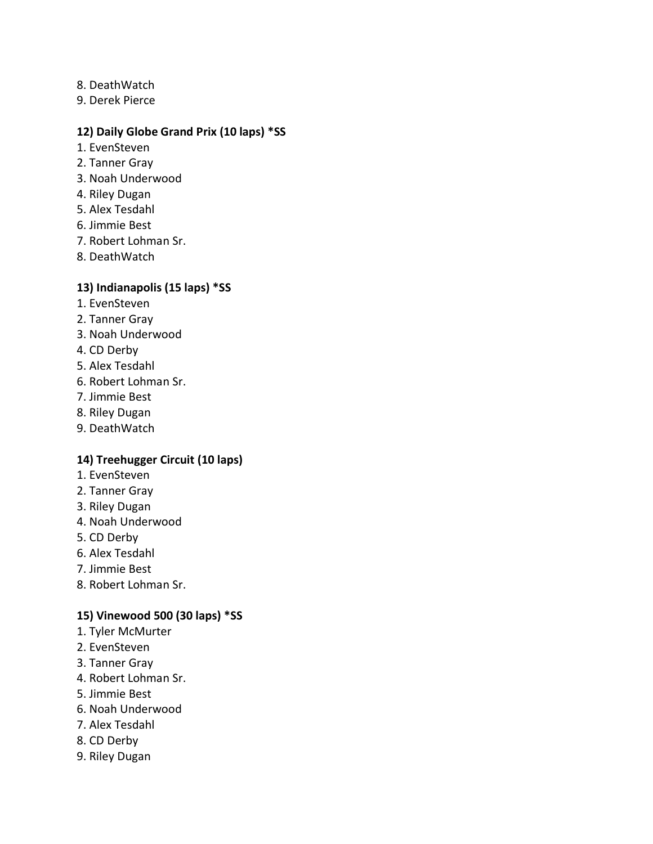- 8. DeathWatch
- 9. Derek Pierce

#### **12) Daily Globe Grand Prix (10 laps) \*SS**

- 1. EvenSteven
- 2. Tanner Gray
- 3. Noah Underwood
- 4. Riley Dugan
- 5. Alex Tesdahl
- 6. Jimmie Best
- 7. Robert Lohman Sr.
- 8. DeathWatch

#### **13) Indianapolis (15 laps) \*SS**

- 1. EvenSteven
- 2. Tanner Gray
- 3. Noah Underwood
- 4. CD Derby
- 5. Alex Tesdahl
- 6. Robert Lohman Sr.
- 7. Jimmie Best
- 8. Riley Dugan
- 9. DeathWatch

# **14) Treehugger Circuit (10 laps)**

- 1. EvenSteven
- 2. Tanner Gray
- 3. Riley Dugan
- 4. Noah Underwood
- 5. CD Derby
- 6. Alex Tesdahl
- 7. Jimmie Best
- 8. Robert Lohman Sr.

#### **15) Vinewood 500 (30 laps) \*SS**

- 1. Tyler McMurter
- 2. EvenSteven
- 3. Tanner Gray
- 4. Robert Lohman Sr.
- 5. Jimmie Best
- 6. Noah Underwood
- 7. Alex Tesdahl
- 8. CD Derby
- 9. Riley Dugan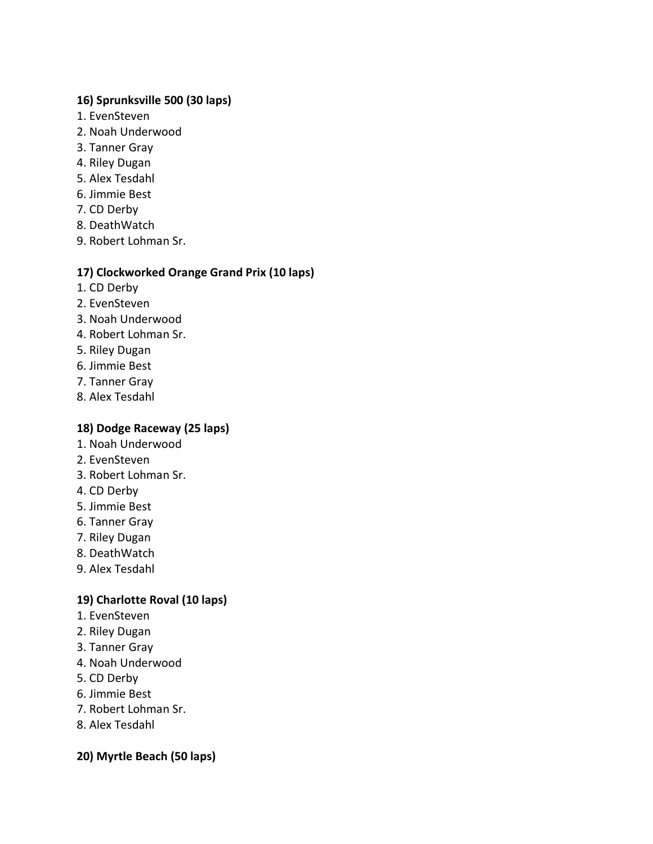# **16) Sprunksville 500 (30 laps)**

- 1. EvenSteven
- 2. Noah Underwood
- 3. Tanner Gray
- 4. Riley Dugan
- 5. Alex Tesdahl
- 6. Jimmie Best
- 7. CD Derby
- 8. DeathWatch
- 9. Robert Lohman Sr.

# **17) Clockworked Orange Grand Prix (10 laps)**

- 1. CD Derby
- 2. EvenSteven
- 3. Noah Underwood
- 4. Robert Lohman Sr.
- 5. Riley Dugan
- 6. Jimmie Best
- 7. Tanner Gray
- 8. Alex Tesdahl

# **18) Dodge Raceway (25 laps)**

- 1. Noah Underwood
- 2. EvenSteven
- 3. Robert Lohman Sr.
- 4. CD Derby
- 5. Jimmie Best
- 6. Tanner Gray
- 7. Riley Dugan
- 8. DeathWatch
- 9. Alex Tesdahl

# **19) Charlotte Roval (10 laps)**

- 1. EvenSteven
- 2. Riley Dugan
- 3. Tanner Gray
- 4. Noah Underwood
- 5. CD Derby
- 6. Jimmie Best
- 7. Robert Lohman Sr.
- 8. Alex Tesdahl

# **20) Myrtle Beach (50 laps)**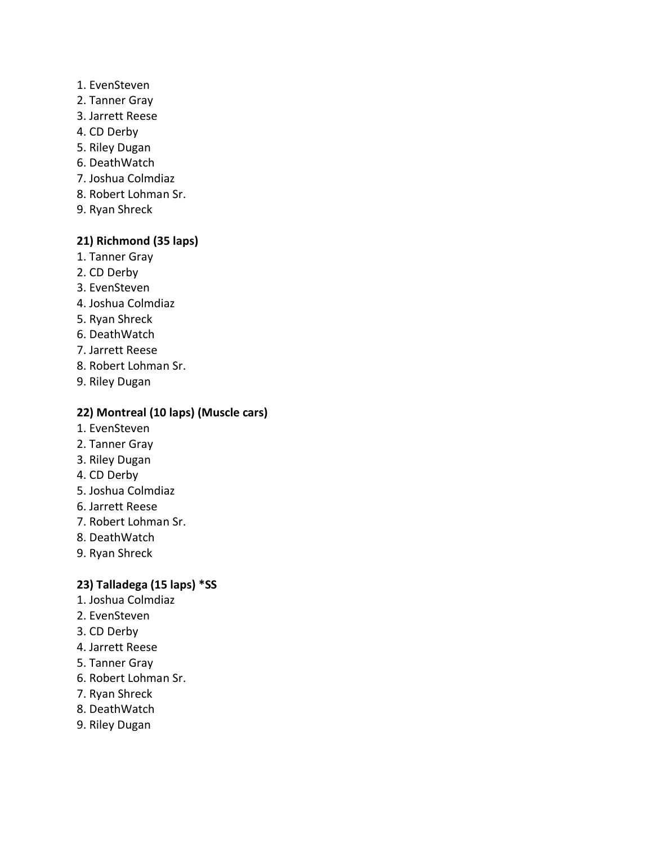- 1. EvenSteven
- 2. Tanner Gray
- 3. Jarrett Reese
- 4. CD Derby
- 5. Riley Dugan
- 6. DeathWatch
- 7. Joshua Colmdiaz
- 8. Robert Lohman Sr.
- 9. Ryan Shreck

#### **21) Richmond (35 laps)**

- 1. Tanner Gray
- 2. CD Derby
- 3. EvenSteven
- 4. Joshua Colmdiaz
- 5. Ryan Shreck
- 6. DeathWatch
- 7. Jarrett Reese
- 8. Robert Lohman Sr.
- 9. Riley Dugan

## **22) Montreal (10 laps) (Muscle cars)**

- 1. EvenSteven
- 2. Tanner Gray
- 3. Riley Dugan
- 4. CD Derby
- 5. Joshua Colmdiaz
- 6. Jarrett Reese
- 7. Robert Lohman Sr.
- 8. DeathWatch
- 9. Ryan Shreck

#### **23) Talladega (15 laps) \*SS**

- 1. Joshua Colmdiaz
- 2. EvenSteven
- 3. CD Derby
- 4. Jarrett Reese
- 5. Tanner Gray
- 6. Robert Lohman Sr.
- 7. Ryan Shreck
- 8. DeathWatch
- 9. Riley Dugan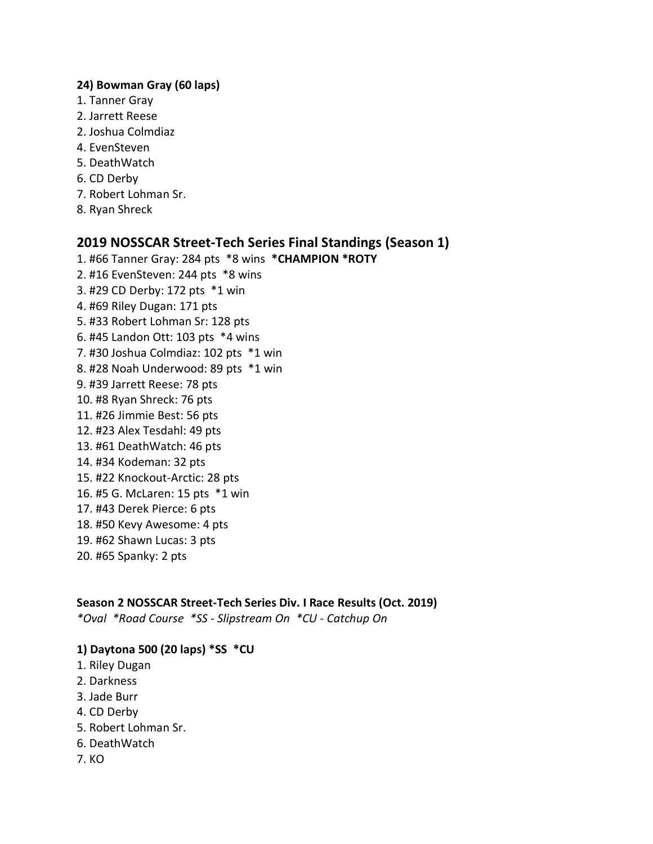#### **24) Bowman Gray (60 laps)**

- 1. Tanner Gray
- 2. Jarrett Reese
- 2. Joshua Colmdiaz
- 4. EvenSteven
- 5. DeathWatch
- 6. CD Derby
- 7. Robert Lohman Sr.
- 8. Ryan Shreck

# **2019 NOSSCAR Street-Tech Series Final Standings (Season 1)**

- 1. #66 Tanner Gray: 284 pts \*8 wins **\*CHAMPION \*ROTY**
- 2. #16 EvenSteven: 244 pts \*8 wins
- 3. #29 CD Derby: 172 pts \*1 win
- 4. #69 Riley Dugan: 171 pts
- 5. #33 Robert Lohman Sr: 128 pts
- 6. #45 Landon Ott: 103 pts \*4 wins
- 7. #30 Joshua Colmdiaz: 102 pts \*1 win
- 8. #28 Noah Underwood: 89 pts \*1 win
- 9. #39 Jarrett Reese: 78 pts
- 10. #8 Ryan Shreck: 76 pts
- 11. #26 Jimmie Best: 56 pts
- 12. #23 Alex Tesdahl: 49 pts
- 13. #61 DeathWatch: 46 pts
- 14. #34 Kodeman: 32 pts
- 15. #22 Knockout-Arctic: 28 pts
- 16. #5 G. McLaren: 15 pts \*1 win
- 17. #43 Derek Pierce: 6 pts
- 18. #50 Kevy Awesome: 4 pts
- 19. #62 Shawn Lucas: 3 pts
- 20. #65 Spanky: 2 pts

#### **Season 2 NOSSCAR Street-Tech Series Div. I Race Results (Oct. 2019)**

*\*Oval \*Road Course \*SS - Slipstream On \*CU - Catchup On*

#### **1) Daytona 500 (20 laps) \*SS \*CU**

- 1. Riley Dugan
- 2. Darkness
- 3. Jade Burr
- 4. CD Derby
- 5. Robert Lohman Sr.
- 6. DeathWatch
- 7. KO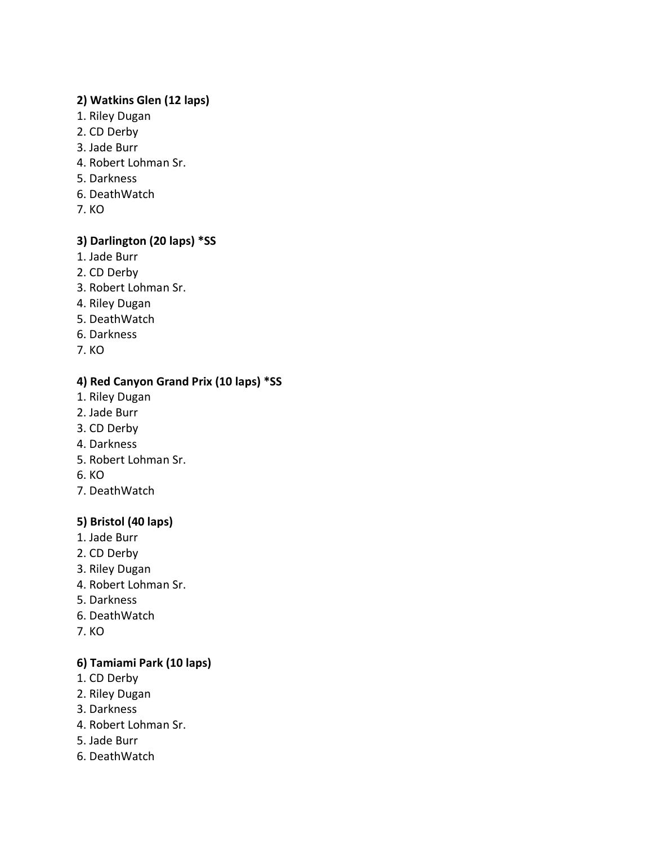# **2) Watkins Glen (12 laps)**

- 1. Riley Dugan
- 2. CD Derby
- 3. Jade Burr
- 4. Robert Lohman Sr.
- 5. Darkness
- 6. DeathWatch
- 7. KO

# **3) Darlington (20 laps) \*SS**

- 1. Jade Burr
- 2. CD Derby
- 3. Robert Lohman Sr.
- 4. Riley Dugan
- 5. DeathWatch
- 6. Darkness
- 7. KO

# **4) Red Canyon Grand Prix (10 laps) \*SS**

- 1. Riley Dugan
- 2. Jade Burr
- 3. CD Derby
- 4. Darkness
- 5. Robert Lohman Sr.
- 6. KO
- 7. DeathWatch

# **5) Bristol (40 laps)**

- 1. Jade Burr
- 2. CD Derby
- 3. Riley Dugan
- 4. Robert Lohman Sr.
- 5. Darkness
- 6. DeathWatch
- 7. KO

# **6) Tamiami Park (10 laps)**

- 1. CD Derby
- 2. Riley Dugan
- 3. Darkness
- 4. Robert Lohman Sr.
- 5. Jade Burr
- 6. DeathWatch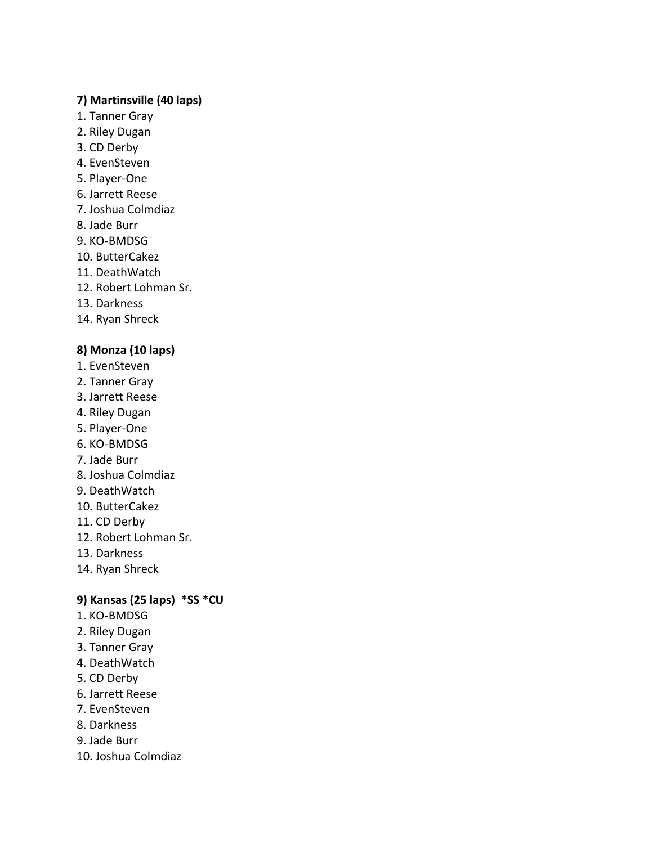#### **7) Martinsville (40 laps)**

- 1. Tanner Gray
- 2. Riley Dugan
- 3. CD Derby
- 4. EvenSteven
- 5. Player-One
- 6. Jarrett Reese
- 7. Joshua Colmdiaz
- 8. Jade Burr
- 9. KO-BMDSG
- 10. ButterCakez
- 11. DeathWatch
- 12. Robert Lohman Sr.
- 13. Darkness
- 14. Ryan Shreck

# **8) Monza (10 laps)**

- 1. EvenSteven
- 2. Tanner Gray
- 3. Jarrett Reese
- 4. Riley Dugan
- 5. Player-One
- 6. KO-BMDSG
- 7. Jade Burr
- 8. Joshua Colmdiaz
- 9. DeathWatch
- 10. ButterCakez
- 11. CD Derby
- 12. Robert Lohman Sr.
- 13. Darkness
- 14. Ryan Shreck

# **9) Kansas (25 laps) \*SS \*CU**

- 1. KO-BMDSG
- 2. Riley Dugan
- 3. Tanner Gray
- 4. DeathWatch
- 5. CD Derby
- 6. Jarrett Reese
- 7. EvenSteven
- 8. Darkness
- 9. Jade Burr
- 10. Joshua Colmdiaz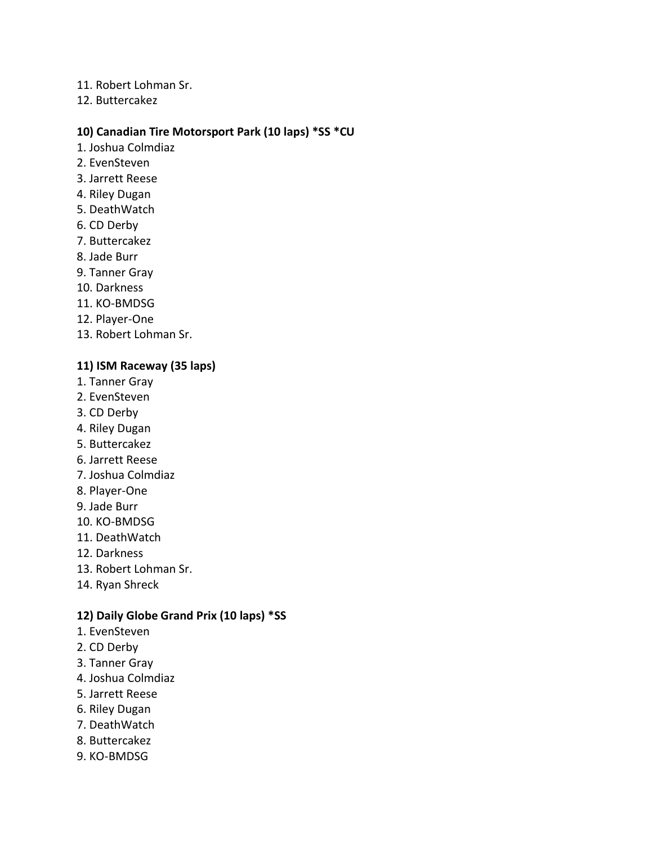- 11. Robert Lohman Sr.
- 12. Buttercakez

#### **10) Canadian Tire Motorsport Park (10 laps) \*SS \*CU**

- 1. Joshua Colmdiaz
- 2. EvenSteven
- 3. Jarrett Reese
- 4. Riley Dugan
- 5. DeathWatch
- 6. CD Derby
- 7. Buttercakez
- 8. Jade Burr
- 9. Tanner Gray
- 10. Darkness
- 11. KO-BMDSG
- 12. Player-One
- 13. Robert Lohman Sr.

#### **11) ISM Raceway (35 laps)**

- 1. Tanner Gray
- 2. EvenSteven
- 3. CD Derby
- 4. Riley Dugan
- 5. Buttercakez
- 6. Jarrett Reese
- 7. Joshua Colmdiaz
- 8. Player-One
- 9. Jade Burr
- 10. KO-BMDSG
- 11. DeathWatch
- 12. Darkness
- 13. Robert Lohman Sr.
- 14. Ryan Shreck

#### **12) Daily Globe Grand Prix (10 laps) \*SS**

- 1. EvenSteven
- 2. CD Derby
- 3. Tanner Gray
- 4. Joshua Colmdiaz
- 5. Jarrett Reese
- 6. Riley Dugan
- 7. DeathWatch
- 8. Buttercakez
- 9. KO-BMDSG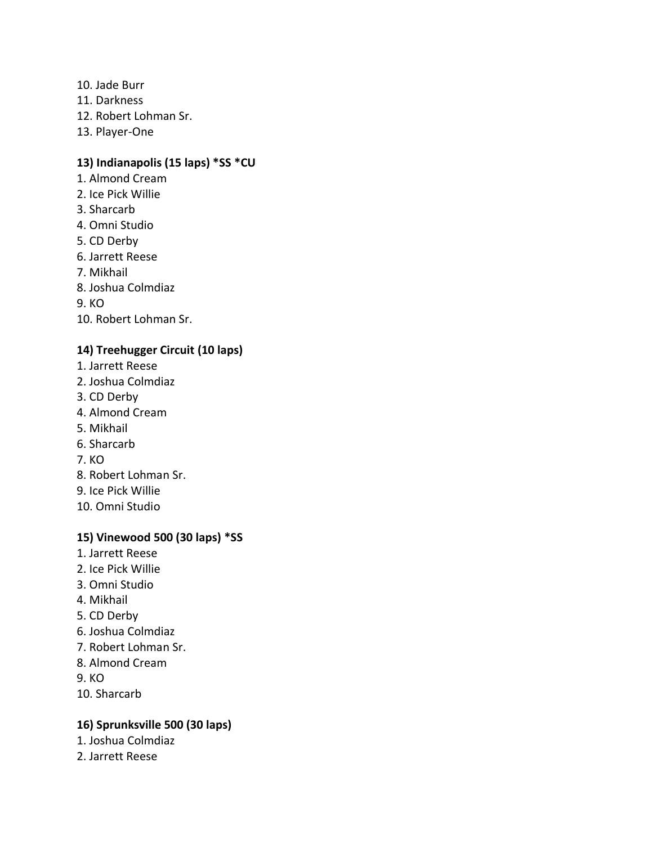- 10. Jade Burr
- 11. Darkness
- 12. Robert Lohman Sr.
- 13. Player-One

# **13) Indianapolis (15 laps) \*SS \*CU**

- 1. Almond Cream
- 2. Ice Pick Willie
- 3. Sharcarb
- 4. Omni Studio
- 5. CD Derby
- 6. Jarrett Reese
- 7. Mikhail
- 8. Joshua Colmdiaz

9. KO

10. Robert Lohman Sr.

# **14) Treehugger Circuit (10 laps)**

- 1. Jarrett Reese
- 2. Joshua Colmdiaz
- 3. CD Derby
- 4. Almond Cream
- 5. Mikhail
- 6. Sharcarb
- 7. KO
- 8. Robert Lohman Sr.
- 9. Ice Pick Willie
- 10. Omni Studio

# **15) Vinewood 500 (30 laps) \*SS**

- 1. Jarrett Reese
- 2. Ice Pick Willie
- 3. Omni Studio
- 4. Mikhail
- 5. CD Derby
- 6. Joshua Colmdiaz
- 7. Robert Lohman Sr.
- 8. Almond Cream

9. KO

10. Sharcarb

# **16) Sprunksville 500 (30 laps)**

- 1. Joshua Colmdiaz
- 2. Jarrett Reese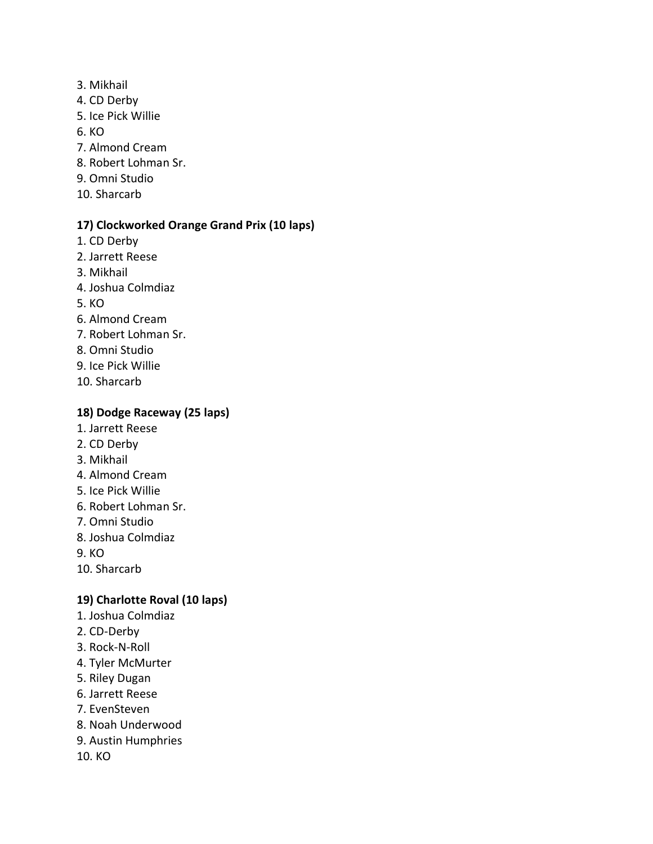- 3. Mikhail
- 4. CD Derby
- 5. Ice Pick Willie
- 6. KO
- 7. Almond Cream
- 8. Robert Lohman Sr.
- 9. Omni Studio
- 10. Sharcarb

# **17) Clockworked Orange Grand Prix (10 laps)**

- 1. CD Derby
- 2. Jarrett Reese
- 3. Mikhail
- 4. Joshua Colmdiaz
- 5. KO
- 6. Almond Cream
- 7. Robert Lohman Sr.
- 8. Omni Studio
- 9. Ice Pick Willie
- 10. Sharcarb

# **18) Dodge Raceway (25 laps)**

- 1. Jarrett Reese
- 2. CD Derby
- 3. Mikhail
- 4. Almond Cream
- 5. Ice Pick Willie
- 6. Robert Lohman Sr.
- 7. Omni Studio
- 8. Joshua Colmdiaz
- 9. KO
- 10. Sharcarb

# **19) Charlotte Roval (10 laps)**

- 1. Joshua Colmdiaz
- 2. CD-Derby
- 3. Rock-N-Roll
- 4. Tyler McMurter
- 5. Riley Dugan
- 6. Jarrett Reese
- 7. EvenSteven
- 8. Noah Underwood
- 9. Austin Humphries
- 10. KO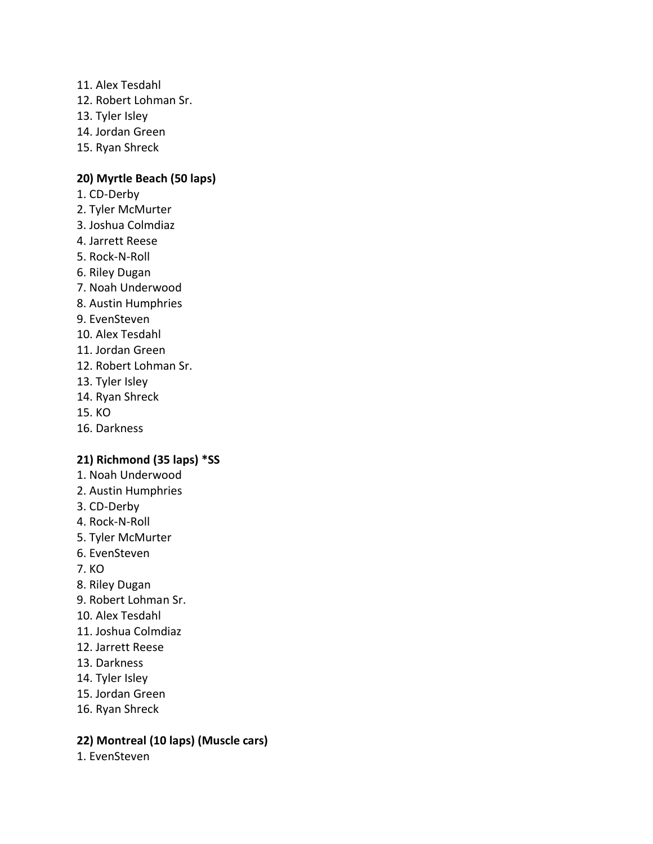- 11. Alex Tesdahl
- 12. Robert Lohman Sr.
- 13. Tyler Isley
- 14. Jordan Green
- 15. Ryan Shreck

#### **20) Myrtle Beach (50 laps)**

- 1. CD-Derby
- 2. Tyler McMurter
- 3. Joshua Colmdiaz
- 4. Jarrett Reese
- 5. Rock-N-Roll
- 6. Riley Dugan
- 7. Noah Underwood
- 8. Austin Humphries
- 9. EvenSteven
- 10. Alex Tesdahl
- 11. Jordan Green
- 12. Robert Lohman Sr.
- 13. Tyler Isley
- 14. Ryan Shreck
- 15. KO
- 16. Darkness

#### **21) Richmond (35 laps) \*SS**

- 1. Noah Underwood
- 2. Austin Humphries
- 3. CD-Derby
- 4. Rock-N-Roll
- 5. Tyler McMurter
- 6. EvenSteven
- 7. KO
- 8. Riley Dugan
- 9. Robert Lohman Sr.
- 10. Alex Tesdahl
- 11. Joshua Colmdiaz
- 12. Jarrett Reese
- 13. Darkness
- 14. Tyler Isley
- 15. Jordan Green
- 16. Ryan Shreck

#### **22) Montreal (10 laps) (Muscle cars)**

1. EvenSteven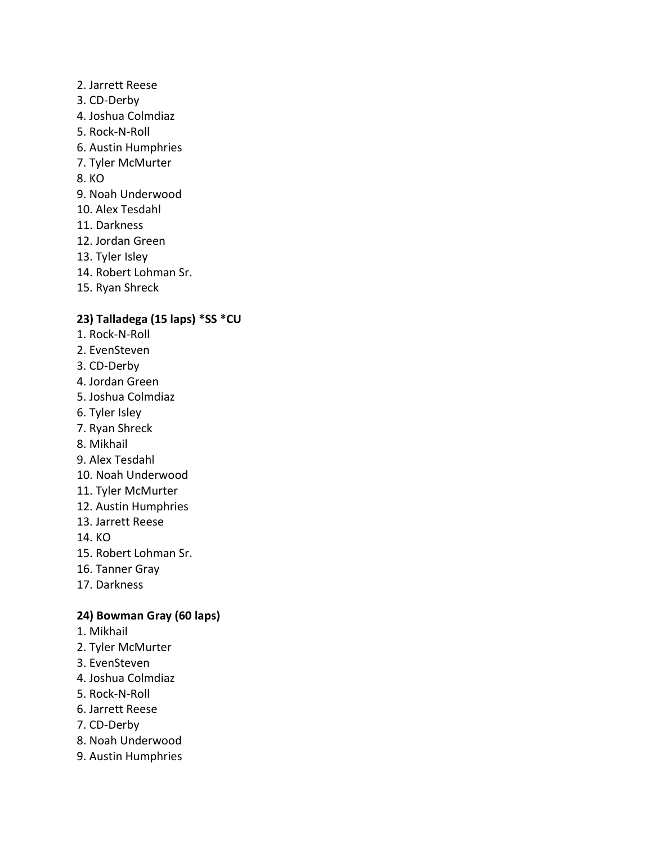- 2. Jarrett Reese
- 3. CD-Derby
- 4. Joshua Colmdiaz
- 5. Rock-N-Roll
- 6. Austin Humphries
- 7. Tyler McMurter
- 8. KO
- 9. Noah Underwood
- 10. Alex Tesdahl
- 11. Darkness
- 12. Jordan Green
- 13. Tyler Isley
- 14. Robert Lohman Sr.
- 15. Ryan Shreck

# **23) Talladega (15 laps) \*SS \*CU**

- 1. Rock-N-Roll
- 2. EvenSteven
- 3. CD-Derby
- 4. Jordan Green
- 5. Joshua Colmdiaz
- 6. Tyler Isley
- 7. Ryan Shreck
- 8. Mikhail
- 9. Alex Tesdahl
- 10. Noah Underwood
- 11. Tyler McMurter
- 12. Austin Humphries
- 13. Jarrett Reese

14. KO

- 15. Robert Lohman Sr.
- 16. Tanner Gray
- 17. Darkness

# **24) Bowman Gray (60 laps)**

- 1. Mikhail
- 2. Tyler McMurter
- 3. EvenSteven
- 4. Joshua Colmdiaz
- 5. Rock-N-Roll
- 6. Jarrett Reese
- 7. CD-Derby
- 8. Noah Underwood
- 9. Austin Humphries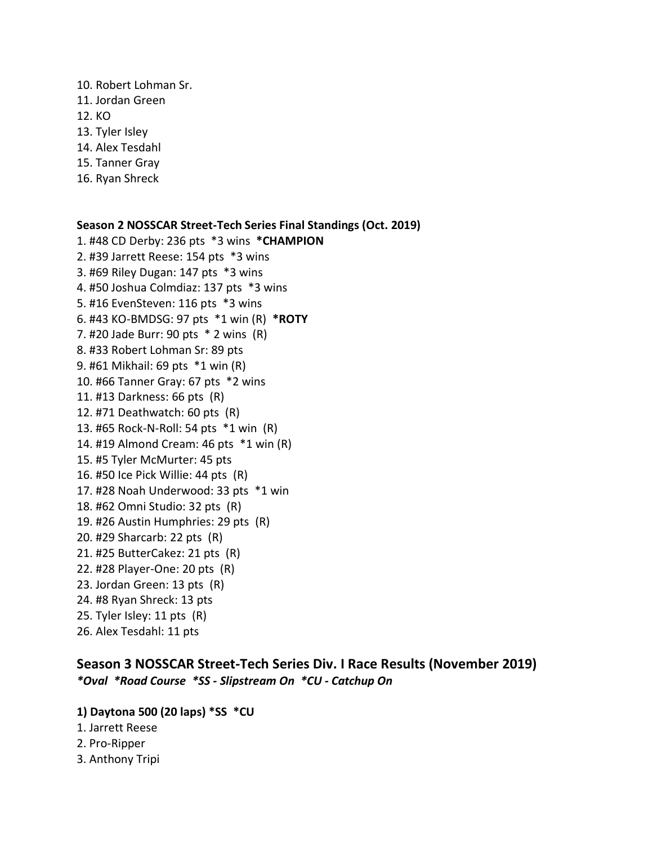- 10. Robert Lohman Sr.
- 11. Jordan Green
- 12. KO
- 13. Tyler Isley
- 14. Alex Tesdahl
- 15. Tanner Gray
- 16. Ryan Shreck

**Season 2 NOSSCAR Street-Tech Series Final Standings (Oct. 2019)** 1. #48 CD Derby: 236 pts \*3 wins **\*CHAMPION** 2. #39 Jarrett Reese: 154 pts \*3 wins 3. #69 Riley Dugan: 147 pts \*3 wins 4. #50 Joshua Colmdiaz: 137 pts \*3 wins 5. #16 EvenSteven: 116 pts \*3 wins 6. #43 KO-BMDSG: 97 pts \*1 win (R) **\*ROTY** 7. #20 Jade Burr: 90 pts \* 2 wins (R) 8. #33 Robert Lohman Sr: 89 pts 9. #61 Mikhail: 69 pts \*1 win (R) 10. #66 Tanner Gray: 67 pts \*2 wins 11. #13 Darkness: 66 pts (R) 12. #71 Deathwatch: 60 pts (R) 13. #65 Rock-N-Roll: 54 pts \*1 win (R) 14. #19 Almond Cream: 46 pts \*1 win (R) 15. #5 Tyler McMurter: 45 pts 16. #50 Ice Pick Willie: 44 pts (R) 17. #28 Noah Underwood: 33 pts \*1 win 18. #62 Omni Studio: 32 pts (R) 19. #26 Austin Humphries: 29 pts (R) 20. #29 Sharcarb: 22 pts (R) 21. #25 ButterCakez: 21 pts (R) 22. #28 Player-One: 20 pts (R) 23. Jordan Green: 13 pts (R) 24. #8 Ryan Shreck: 13 pts 25. Tyler Isley: 11 pts (R) 26. Alex Tesdahl: 11 pts

**Season 3 NOSSCAR Street-Tech Series Div. I Race Results (November 2019)** *\*Oval \*Road Course \*SS - Slipstream On \*CU - Catchup On*

- **1) Daytona 500 (20 laps) \*SS \*CU**
- 1. Jarrett Reese
- 2. Pro-Ripper
- 3. Anthony Tripi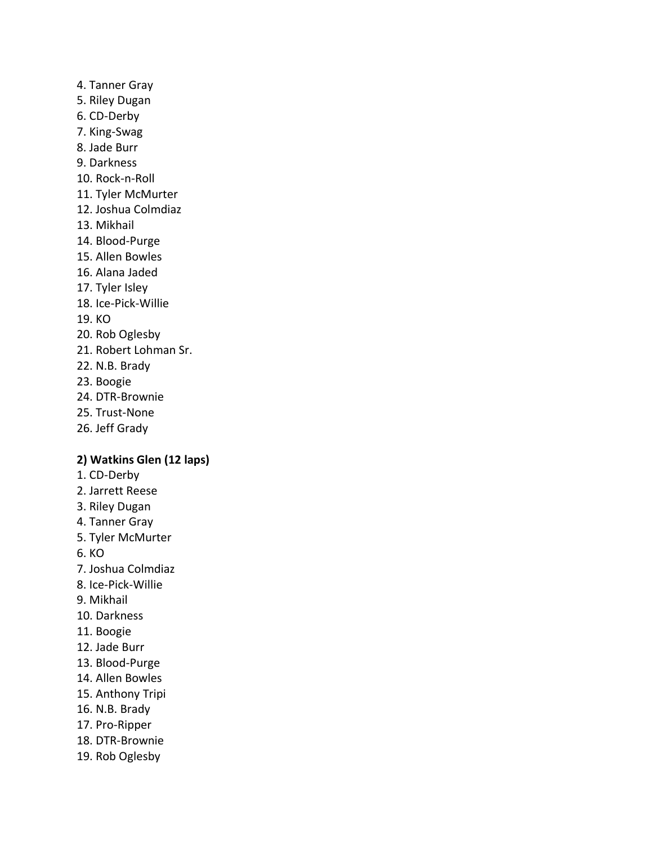# 4. Tanner Gray 5. Riley Dugan 6. CD-Derby 7. King-Swag 8. Jade Burr 9. Darkness 10. Rock-n-Roll 11. Tyler McMurter 12. Joshua Colmdiaz 13. Mikhail 14. Blood-Purge 15. Allen Bowles 16. Alana Jaded 17. Tyler Isley 18. Ice-Pick-Willie 19. KO 20. Rob Oglesby 21. Robert Lohman Sr. 22. N.B. Brady 23. Boogie 24. DTR-Brownie 25. Trust-None

26. Jeff Grady

#### **2) Watkins Glen (12 laps)**

- 1. CD-Derby
- 2. Jarrett Reese
- 3. Riley Dugan
- 4. Tanner Gray
- 5. Tyler McMurter
- 6. KO
- 7. Joshua Colmdiaz
- 8. Ice-Pick-Willie
- 9. Mikhail
- 10. Darkness
- 11. Boogie
- 12. Jade Burr
- 13. Blood-Purge
- 14. Allen Bowles
- 15. Anthony Tripi
- 16. N.B. Brady
- 17. Pro-Ripper
- 18. DTR-Brownie
- 19. Rob Oglesby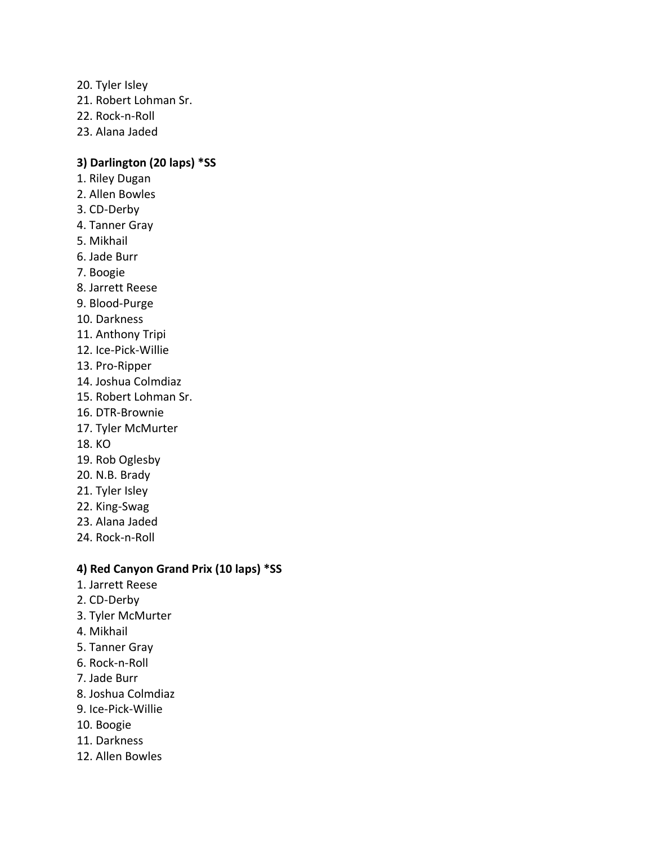- 20. Tyler Isley
- 21. Robert Lohman Sr.
- 22. Rock-n-Roll
- 23. Alana Jaded

#### **3) Darlington (20 laps) \*SS**

- 1. Riley Dugan
- 2. Allen Bowles
- 3. CD-Derby
- 4. Tanner Gray
- 5. Mikhail
- 6. Jade Burr
- 7. Boogie
- 8. Jarrett Reese
- 9. Blood-Purge
- 10. Darkness
- 11. Anthony Tripi
- 12. Ice-Pick-Willie
- 13. Pro-Ripper
- 14. Joshua Colmdiaz
- 15. Robert Lohman Sr.
- 16. DTR-Brownie
- 17. Tyler McMurter
- 18. KO
- 19. Rob Oglesby
- 20. N.B. Brady
- 21. Tyler Isley
- 22. King-Swag
- 23. Alana Jaded
- 24. Rock-n-Roll

#### **4) Red Canyon Grand Prix (10 laps) \*SS**

- 1. Jarrett Reese
- 2. CD-Derby
- 3. Tyler McMurter
- 4. Mikhail
- 5. Tanner Gray
- 6. Rock-n-Roll
- 7. Jade Burr
- 8. Joshua Colmdiaz
- 9. Ice-Pick-Willie
- 10. Boogie
- 11. Darkness
- 12. Allen Bowles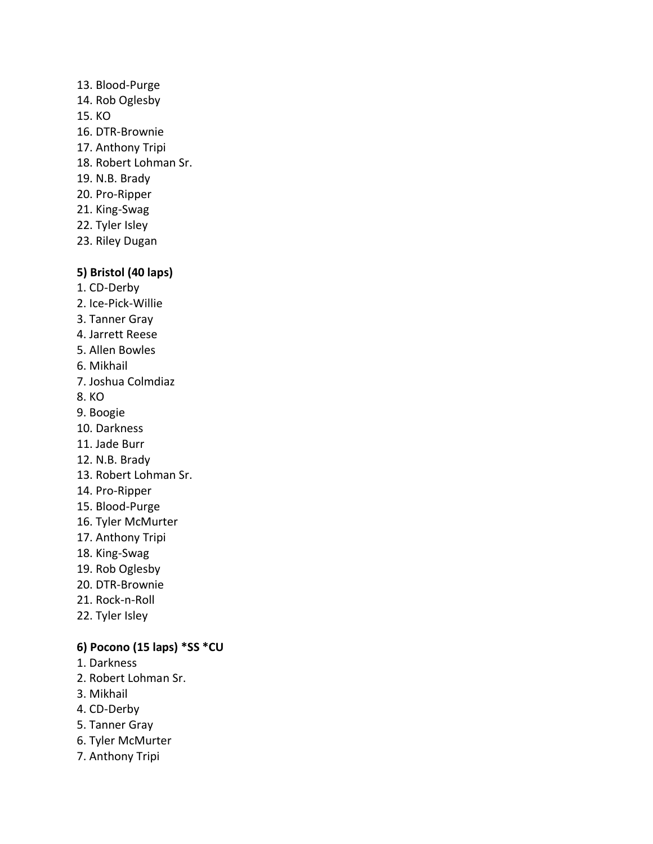13. Blood-Purge 14. Rob Oglesby 15. KO 16. DTR-Brownie 17. Anthony Tripi 18. Robert Lohman Sr. 19. N.B. Brady 20. Pro-Ripper 21. King-Swag 22. Tyler Isley 23. Riley Dugan

#### **5) Bristol (40 laps)**

- 1. CD-Derby
- 2. Ice-Pick-Willie
- 3. Tanner Gray
- 4. Jarrett Reese
- 5. Allen Bowles
- 6. Mikhail
- 7. Joshua Colmdiaz
- 8. KO
- 9. Boogie
- 10. Darkness
- 11. Jade Burr
- 12. N.B. Brady
- 13. Robert Lohman Sr.
- 14. Pro-Ripper
- 15. Blood-Purge
- 16. Tyler McMurter
- 17. Anthony Tripi
- 18. King-Swag
- 19. Rob Oglesby
- 20. DTR-Brownie
- 21. Rock-n-Roll
- 22. Tyler Isley

# **6) Pocono (15 laps) \*SS \*CU**

- 1. Darkness
- 2. Robert Lohman Sr.
- 3. Mikhail
- 4. CD-Derby
- 5. Tanner Gray
- 6. Tyler McMurter
- 7. Anthony Tripi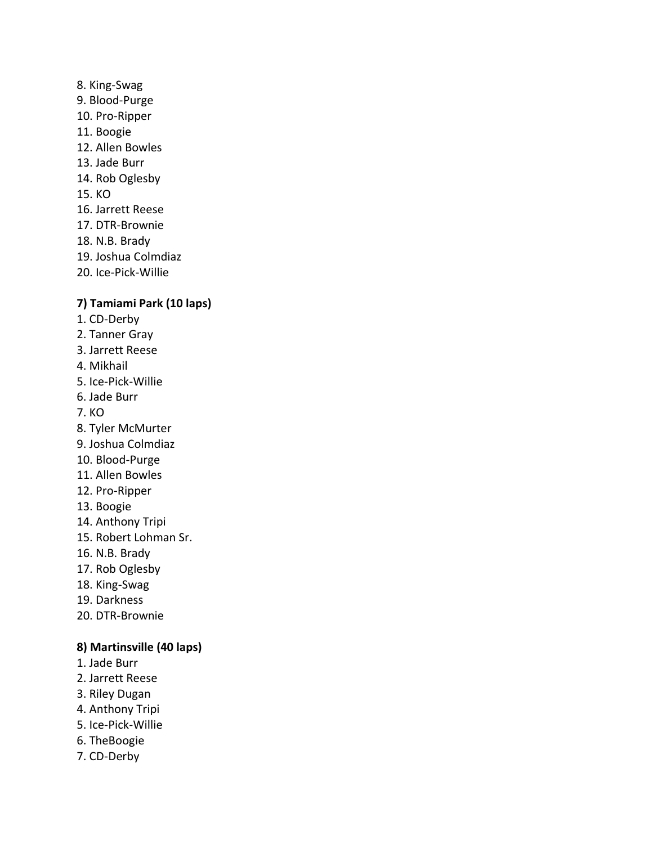# 8. King-Swag 9. Blood-Purge 10. Pro-Ripper 11. Boogie 12. Allen Bowles 13. Jade Burr 14. Rob Oglesby 15. KO 16. Jarrett Reese 17. DTR-Brownie 18. N.B. Brady 19. Joshua Colmdiaz

20. Ice-Pick-Willie

#### **7) Tamiami Park (10 laps)**

- 1. CD-Derby
- 2. Tanner Gray
- 3. Jarrett Reese
- 4. Mikhail
- 5. Ice-Pick-Willie
- 6. Jade Burr
- 7. KO
- 8. Tyler McMurter
- 9. Joshua Colmdiaz
- 10. Blood-Purge
- 11. Allen Bowles
- 12. Pro-Ripper
- 13. Boogie
- 14. Anthony Tripi
- 15. Robert Lohman Sr.
- 16. N.B. Brady
- 17. Rob Oglesby
- 18. King-Swag
- 19. Darkness
- 20. DTR-Brownie

#### **8) Martinsville (40 laps)**

- 1. Jade Burr
- 2. Jarrett Reese
- 3. Riley Dugan
- 4. Anthony Tripi
- 5. Ice-Pick-Willie
- 6. TheBoogie
- 7. CD-Derby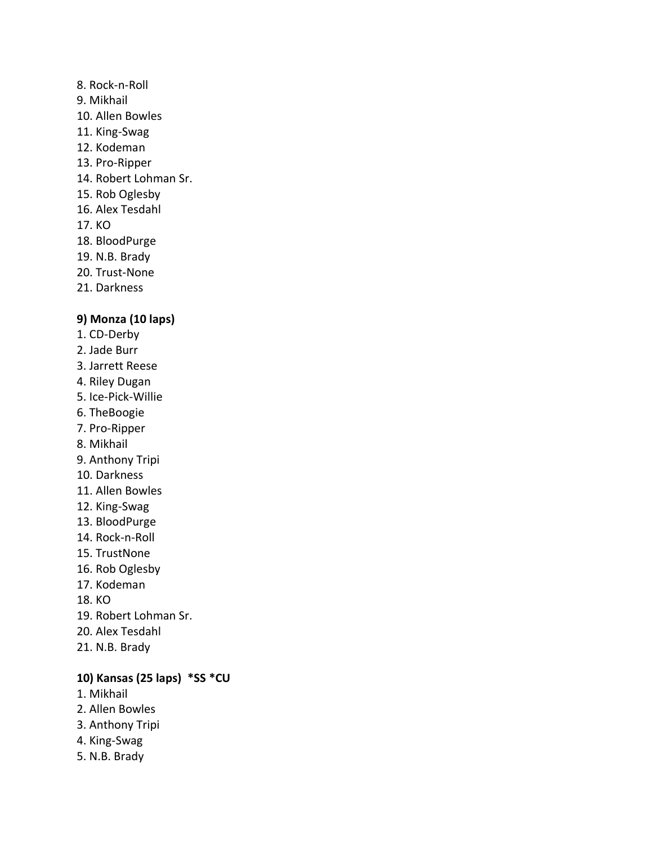#### 8. Rock-n-Roll

- 9. Mikhail
- 10. Allen Bowles
- 11. King-Swag
- 12. Kodeman
- 13. Pro-Ripper
- 14. Robert Lohman Sr.
- 15. Rob Oglesby
- 16. Alex Tesdahl
- 17. KO
- 18. BloodPurge
- 19. N.B. Brady
- 20. Trust-None
- 21. Darkness

#### **9) Monza (10 laps)**

- 1. CD-Derby
- 2. Jade Burr
- 3. Jarrett Reese
- 4. Riley Dugan
- 5. Ice-Pick-Willie
- 6. TheBoogie
- 7. Pro-Ripper
- 8. Mikhail
- 9. Anthony Tripi
- 10. Darkness
- 11. Allen Bowles
- 12. King-Swag
- 13. BloodPurge
- 14. Rock-n-Roll
- 15. TrustNone
- 16. Rob Oglesby
- 17. Kodeman
- 18. KO
- 19. Robert Lohman Sr.
- 20. Alex Tesdahl
- 21. N.B. Brady

# **10) Kansas (25 laps) \*SS \*CU**

- 1. Mikhail
- 2. Allen Bowles
- 3. Anthony Tripi
- 4. King-Swag
- 5. N.B. Brady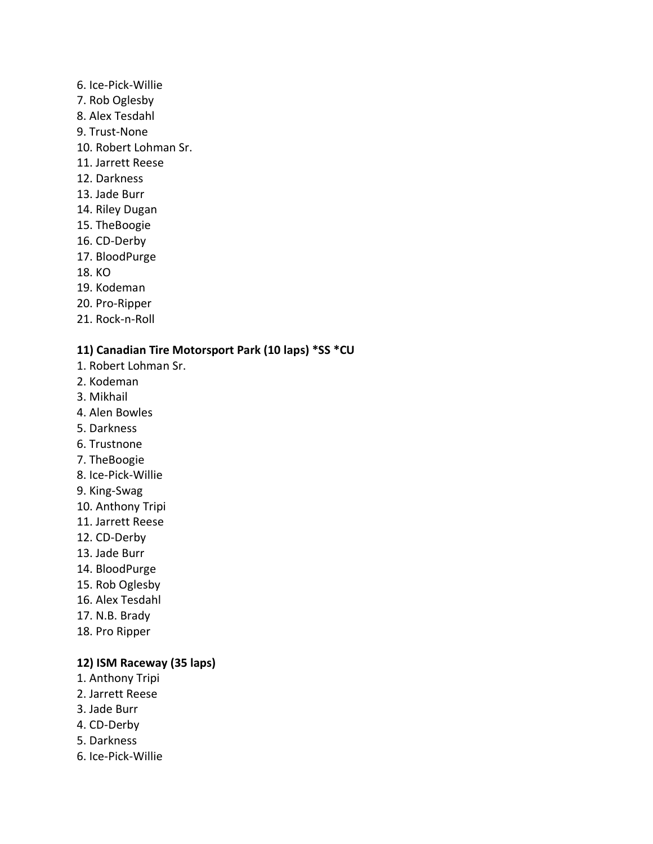- 6. Ice-Pick-Willie
- 7. Rob Oglesby
- 8. Alex Tesdahl
- 9. Trust-None
- 10. Robert Lohman Sr.
- 11. Jarrett Reese
- 12. Darkness
- 13. Jade Burr
- 14. Riley Dugan
- 15. TheBoogie
- 16. CD-Derby
- 17. BloodPurge
- 18. KO
- 19. Kodeman
- 20. Pro-Ripper
- 21. Rock-n-Roll

# **11) Canadian Tire Motorsport Park (10 laps) \*SS \*CU**

- 1. Robert Lohman Sr.
- 2. Kodeman
- 3. Mikhail
- 4. Alen Bowles
- 5. Darkness
- 6. Trustnone
- 7. TheBoogie
- 8. Ice-Pick-Willie
- 9. King-Swag
- 10. Anthony Tripi
- 11. Jarrett Reese
- 12. CD-Derby
- 13. Jade Burr
- 14. BloodPurge
- 15. Rob Oglesby
- 16. Alex Tesdahl
- 17. N.B. Brady
- 18. Pro Ripper

# **12) ISM Raceway (35 laps)**

- 1. Anthony Tripi
- 2. Jarrett Reese
- 3. Jade Burr
- 4. CD-Derby
- 5. Darkness
- 6. Ice-Pick-Willie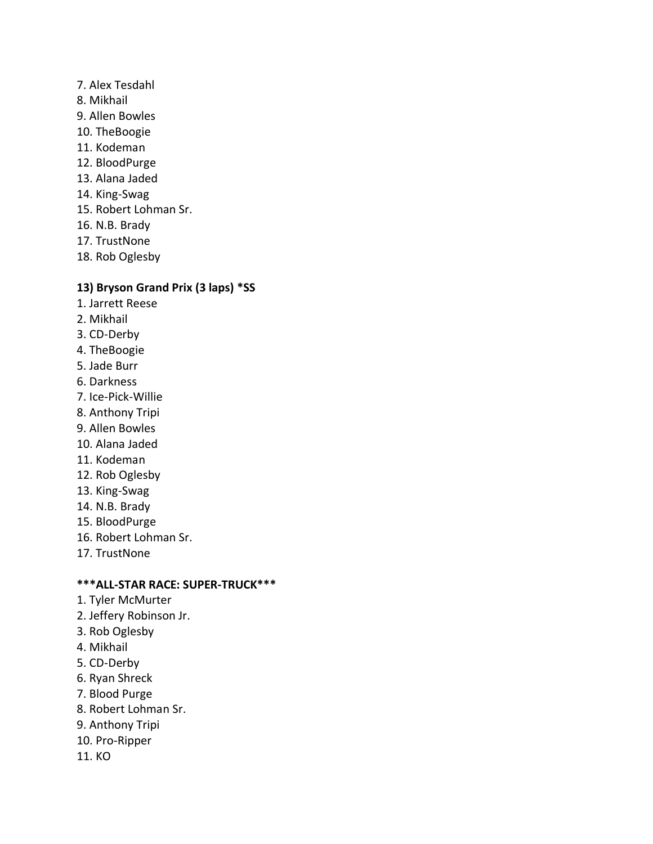#### 7. Alex Tesdahl

- 8. Mikhail
- 9. Allen Bowles
- 10. TheBoogie
- 11. Kodeman
- 12. BloodPurge
- 13. Alana Jaded
- 14. King-Swag
- 15. Robert Lohman Sr.
- 16. N.B. Brady
- 17. TrustNone
- 18. Rob Oglesby

#### **13) Bryson Grand Prix (3 laps) \*SS**

- 1. Jarrett Reese
- 2. Mikhail
- 3. CD-Derby
- 4. TheBoogie
- 5. Jade Burr
- 6. Darkness
- 7. Ice-Pick-Willie
- 8. Anthony Tripi
- 9. Allen Bowles
- 10. Alana Jaded
- 11. Kodeman
- 12. Rob Oglesby
- 13. King-Swag
- 14. N.B. Brady
- 15. BloodPurge
- 16. Robert Lohman Sr.
- 17. TrustNone

#### **\*\*\*ALL-STAR RACE: SUPER-TRUCK\*\*\***

- 1. Tyler McMurter
- 2. Jeffery Robinson Jr.
- 3. Rob Oglesby
- 4. Mikhail
- 5. CD-Derby
- 6. Ryan Shreck
- 7. Blood Purge
- 8. Robert Lohman Sr.
- 9. Anthony Tripi
- 10. Pro-Ripper
- 11. KO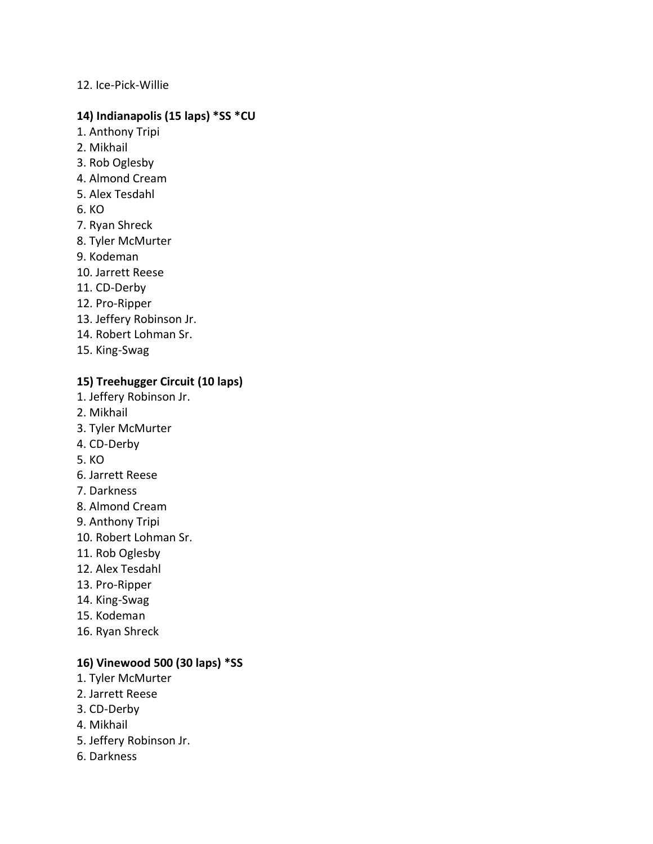#### 12. Ice-Pick-Willie

#### **14) Indianapolis (15 laps) \*SS \*CU**

- 1. Anthony Tripi
- 2. Mikhail
- 3. Rob Oglesby
- 4. Almond Cream
- 5. Alex Tesdahl
- 6. KO
- 7. Ryan Shreck
- 8. Tyler McMurter
- 9. Kodeman
- 10. Jarrett Reese
- 11. CD-Derby
- 12. Pro-Ripper
- 13. Jeffery Robinson Jr.
- 14. Robert Lohman Sr.
- 15. King-Swag

# **15) Treehugger Circuit (10 laps)**

- 1. Jeffery Robinson Jr.
- 2. Mikhail
- 3. Tyler McMurter
- 4. CD-Derby
- 5. KO
- 6. Jarrett Reese
- 7. Darkness
- 8. Almond Cream
- 9. Anthony Tripi
- 10. Robert Lohman Sr.
- 11. Rob Oglesby
- 12. Alex Tesdahl
- 13. Pro-Ripper
- 14. King-Swag
- 15. Kodeman
- 16. Ryan Shreck

# **16) Vinewood 500 (30 laps) \*SS**

- 1. Tyler McMurter
- 2. Jarrett Reese
- 3. CD-Derby
- 4. Mikhail
- 5. Jeffery Robinson Jr.
- 6. Darkness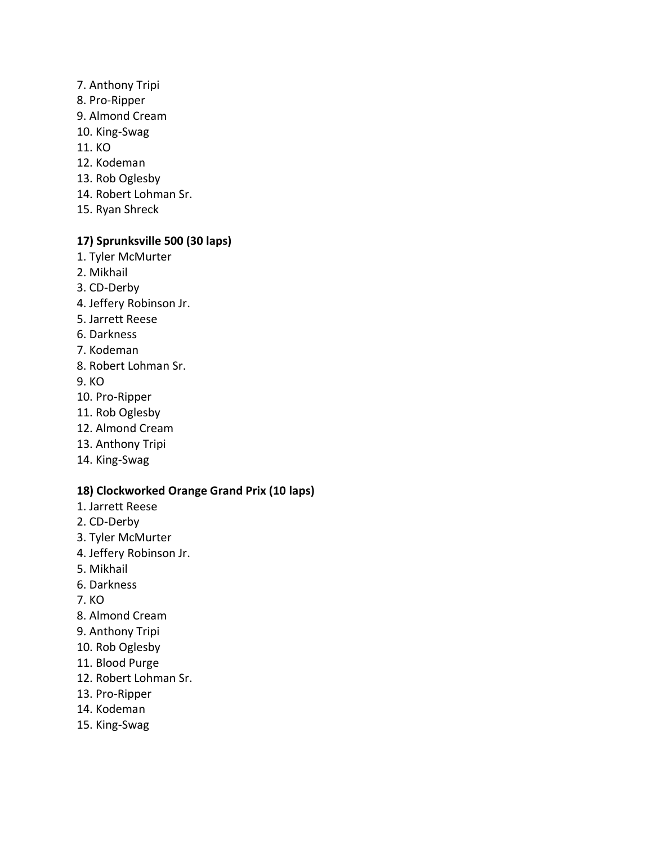- 7. Anthony Tripi
- 8. Pro-Ripper
- 9. Almond Cream
- 10. King-Swag
- 11. KO
- 12. Kodeman
- 13. Rob Oglesby
- 14. Robert Lohman Sr.
- 15. Ryan Shreck

# **17) Sprunksville 500 (30 laps)**

- 1. Tyler McMurter
- 2. Mikhail
- 3. CD-Derby
- 4. Jeffery Robinson Jr.
- 5. Jarrett Reese
- 6. Darkness
- 7. Kodeman
- 8. Robert Lohman Sr.
- 9. KO
- 10. Pro-Ripper
- 11. Rob Oglesby
- 12. Almond Cream
- 13. Anthony Tripi
- 14. King-Swag

# **18) Clockworked Orange Grand Prix (10 laps)**

- 1. Jarrett Reese
- 2. CD-Derby
- 3. Tyler McMurter
- 4. Jeffery Robinson Jr.
- 5. Mikhail
- 6. Darkness
- 7. KO
- 8. Almond Cream
- 9. Anthony Tripi
- 10. Rob Oglesby
- 11. Blood Purge
- 12. Robert Lohman Sr.
- 13. Pro-Ripper
- 14. Kodeman
- 15. King-Swag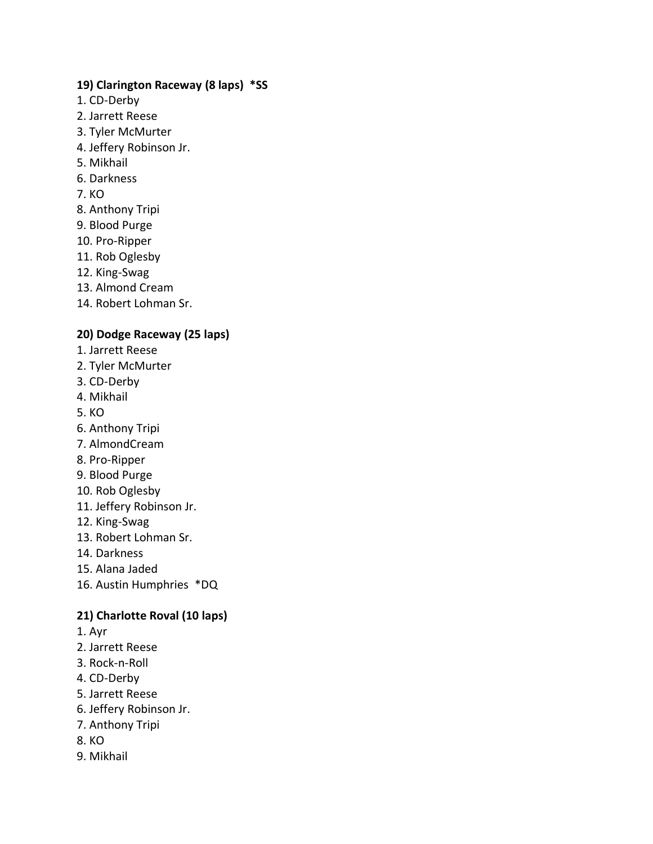# **19) Clarington Raceway (8 laps) \*SS**

- 1. CD-Derby
- 2. Jarrett Reese
- 3. Tyler McMurter
- 4. Jeffery Robinson Jr.
- 5. Mikhail
- 6. Darkness
- 7. KO
- 8. Anthony Tripi
- 9. Blood Purge
- 10. Pro-Ripper
- 11. Rob Oglesby
- 12. King-Swag
- 13. Almond Cream
- 14. Robert Lohman Sr.

# **20) Dodge Raceway (25 laps)**

- 1. Jarrett Reese
- 2. Tyler McMurter
- 3. CD-Derby
- 4. Mikhail
- 5. KO
- 6. Anthony Tripi
- 7. AlmondCream
- 8. Pro-Ripper
- 9. Blood Purge
- 10. Rob Oglesby
- 11. Jeffery Robinson Jr.
- 12. King-Swag
- 13. Robert Lohman Sr.
- 14. Darkness
- 15. Alana Jaded
- 16. Austin Humphries \*DQ

# **21) Charlotte Roval (10 laps)**

- 1. Ayr
- 2. Jarrett Reese
- 3. Rock-n-Roll
- 4. CD-Derby
- 5. Jarrett Reese
- 6. Jeffery Robinson Jr.
- 7. Anthony Tripi
- 8. KO
- 9. Mikhail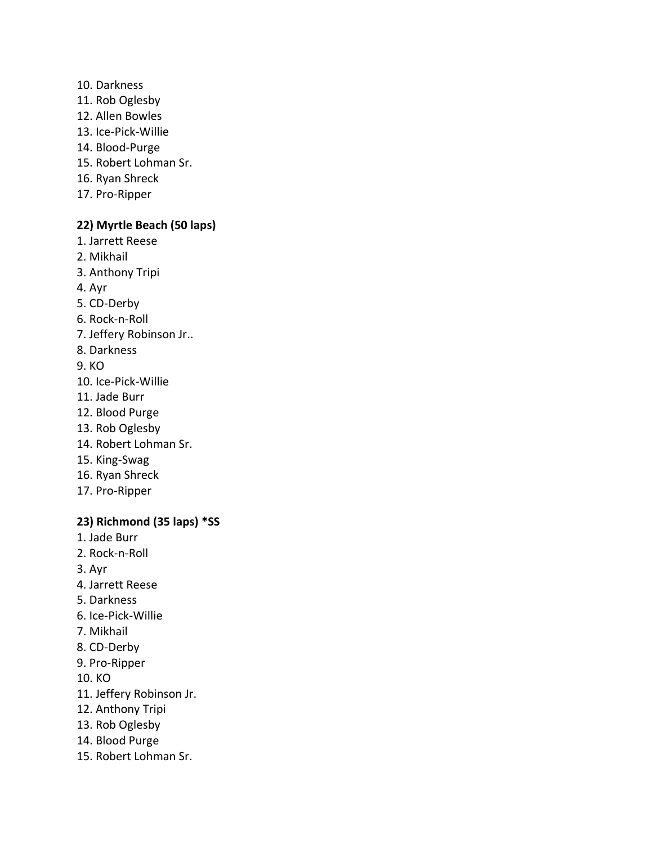- 10. Darkness
- 11. Rob Oglesby
- 12. Allen Bowles
- 13. Ice-Pick-Willie
- 14. Blood-Purge
- 15. Robert Lohman Sr.
- 16. Ryan Shreck
- 17. Pro-Ripper

# **22) Myrtle Beach (50 laps)**

- 1. Jarrett Reese
- 2. Mikhail
- 3. Anthony Tripi
- 4. Ayr
- 5. CD-Derby
- 6. Rock-n-Roll
- 7. Jeffery Robinson Jr..
- 8. Darkness
- 9. KO
- 10. Ice-Pick-Willie
- 11. Jade Burr
- 12. Blood Purge
- 13. Rob Oglesby
- 14. Robert Lohman Sr.
- 15. King-Swag
- 16. Ryan Shreck
- 17. Pro-Ripper

# **23) Richmond (35 laps) \*SS**

- 1. Jade Burr
- 2. Rock-n-Roll
- 3. Ayr
- 4. Jarrett Reese
- 5. Darkness
- 6. Ice-Pick-Willie
- 7. Mikhail
- 8. CD-Derby
- 9. Pro-Ripper
- 10. KO
- 11. Jeffery Robinson Jr.
- 12. Anthony Tripi
- 13. Rob Oglesby
- 14. Blood Purge
- 15. Robert Lohman Sr.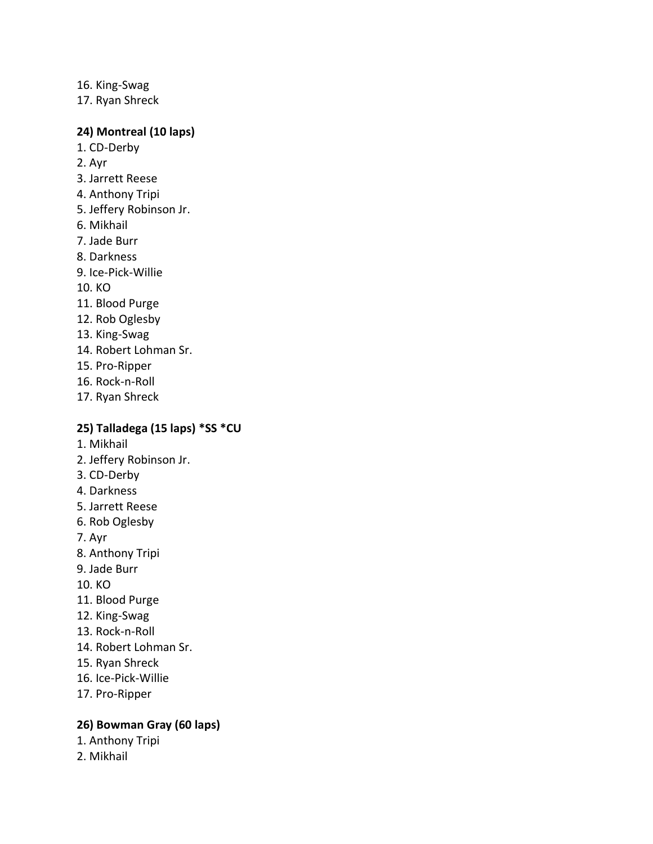16. King-Swag 17. Ryan Shreck

#### **24) Montreal (10 laps)**

- 1. CD-Derby
- 2. Ayr
- 3. Jarrett Reese
- 4. Anthony Tripi
- 5. Jeffery Robinson Jr.
- 6. Mikhail
- 7. Jade Burr
- 8. Darkness
- 9. Ice-Pick-Willie
- 10. KO
- 11. Blood Purge
- 12. Rob Oglesby
- 13. King-Swag
- 14. Robert Lohman Sr.
- 15. Pro-Ripper
- 16. Rock-n-Roll
- 17. Ryan Shreck

#### **25) Talladega (15 laps) \*SS \*CU**

- 1. Mikhail
- 2. Jeffery Robinson Jr.
- 3. CD-Derby
- 4. Darkness
- 5. Jarrett Reese
- 6. Rob Oglesby
- 7. Ayr
- 8. Anthony Tripi
- 9. Jade Burr
- 10. KO
- 11. Blood Purge
- 12. King-Swag
- 13. Rock-n-Roll
- 14. Robert Lohman Sr.
- 15. Ryan Shreck
- 16. Ice-Pick-Willie
- 17. Pro-Ripper

#### **26) Bowman Gray (60 laps)**

- 1. Anthony Tripi
- 2. Mikhail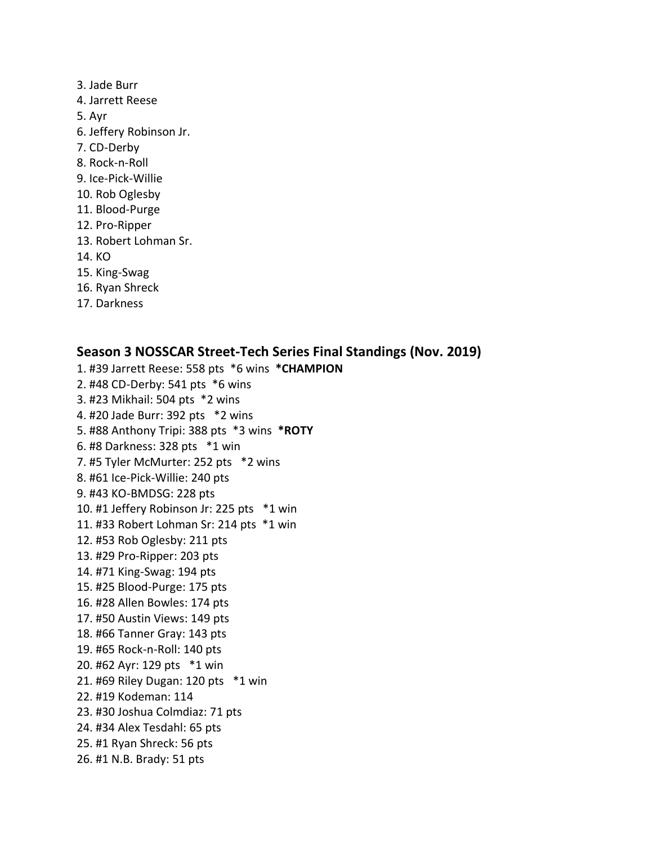- 3. Jade Burr 4. Jarrett Reese 5. Ayr 6. Jeffery Robinson Jr. 7. CD-Derby 8. Rock-n-Roll 9. Ice-Pick-Willie 10. Rob Oglesby 11. Blood-Purge 12. Pro-Ripper 13. Robert Lohman Sr. 14. KO 15. King-Swag 16. Ryan Shreck
- 17. Darkness

#### **Season 3 NOSSCAR Street-Tech Series Final Standings (Nov. 2019)**

1. #39 Jarrett Reese: 558 pts \*6 wins **\*CHAMPION** 2. #48 CD-Derby: 541 pts \*6 wins 3. #23 Mikhail: 504 pts \*2 wins 4. #20 Jade Burr: 392 pts \*2 wins 5. #88 Anthony Tripi: 388 pts \*3 wins **\*ROTY** 6. #8 Darkness: 328 pts \*1 win 7. #5 Tyler McMurter: 252 pts \*2 wins 8. #61 Ice-Pick-Willie: 240 pts 9. #43 KO-BMDSG: 228 pts 10. #1 Jeffery Robinson Jr: 225 pts \*1 win 11. #33 Robert Lohman Sr: 214 pts \*1 win 12. #53 Rob Oglesby: 211 pts 13. #29 Pro-Ripper: 203 pts 14. #71 King-Swag: 194 pts 15. #25 Blood-Purge: 175 pts 16. #28 Allen Bowles: 174 pts 17. #50 Austin Views: 149 pts 18. #66 Tanner Gray: 143 pts 19. #65 Rock-n-Roll: 140 pts 20. #62 Ayr: 129 pts \*1 win 21. #69 Riley Dugan: 120 pts \*1 win 22. #19 Kodeman: 114 23. #30 Joshua Colmdiaz: 71 pts 24. #34 Alex Tesdahl: 65 pts 25. #1 Ryan Shreck: 56 pts 26. #1 N.B. Brady: 51 pts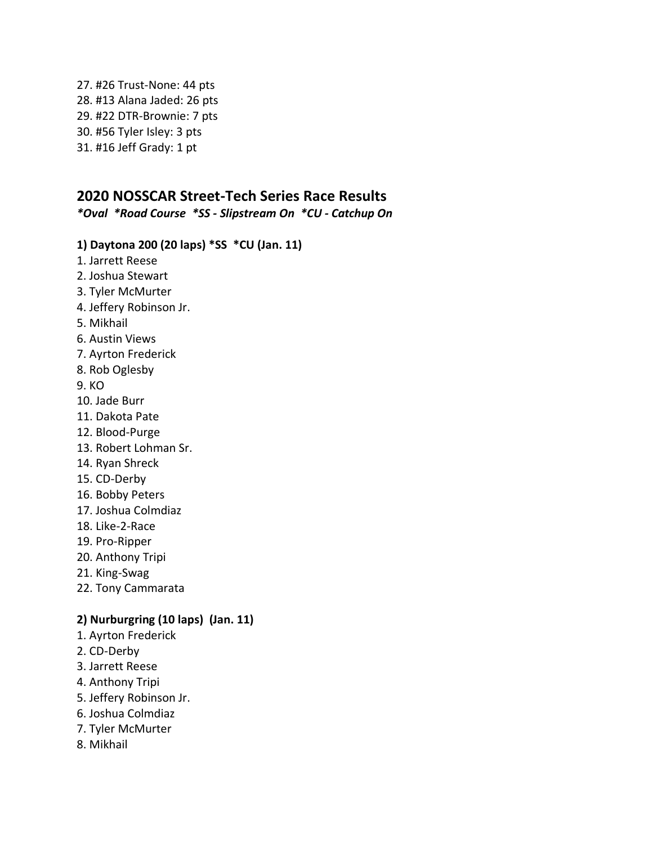27. #26 Trust-None: 44 pts 28. #13 Alana Jaded: 26 pts 29. #22 DTR-Brownie: 7 pts 30. #56 Tyler Isley: 3 pts 31. #16 Jeff Grady: 1 pt

# **2020 NOSSCAR Street-Tech Series Race Results**

*\*Oval \*Road Course \*SS - Slipstream On \*CU - Catchup On*

#### **1) Daytona 200 (20 laps) \*SS \*CU (Jan. 11)**

- 1. Jarrett Reese
- 2. Joshua Stewart
- 3. Tyler McMurter
- 4. Jeffery Robinson Jr.
- 5. Mikhail
- 6. Austin Views
- 7. Ayrton Frederick
- 8. Rob Oglesby
- 9. KO
- 10. Jade Burr
- 11. Dakota Pate
- 12. Blood-Purge
- 13. Robert Lohman Sr.
- 14. Ryan Shreck
- 15. CD-Derby
- 16. Bobby Peters
- 17. Joshua Colmdiaz
- 18. Like-2-Race
- 19. Pro-Ripper
- 20. Anthony Tripi
- 21. King-Swag
- 22. Tony Cammarata

# **2) Nurburgring (10 laps) (Jan. 11)**

- 1. Ayrton Frederick
- 2. CD-Derby
- 3. Jarrett Reese
- 4. Anthony Tripi
- 5. Jeffery Robinson Jr.
- 6. Joshua Colmdiaz
- 7. Tyler McMurter
- 8. Mikhail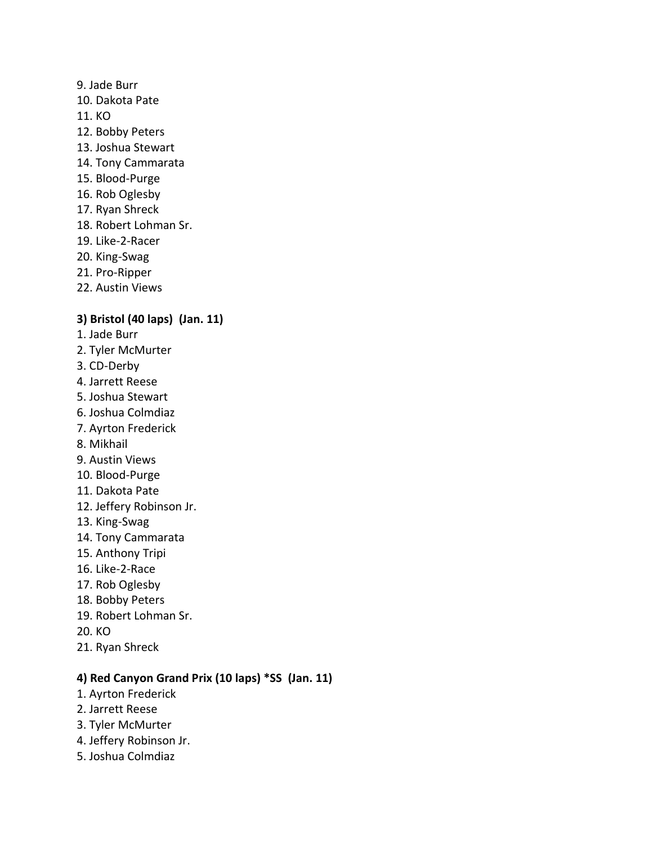#### 9. Jade Burr

- 10. Dakota Pate
- 11. KO
- 12. Bobby Peters
- 13. Joshua Stewart
- 14. Tony Cammarata
- 15. Blood-Purge
- 16. Rob Oglesby
- 17. Ryan Shreck
- 18. Robert Lohman Sr.
- 19. Like-2-Racer
- 20. King-Swag
- 21. Pro-Ripper
- 22. Austin Views

# **3) Bristol (40 laps) (Jan. 11)**

- 1. Jade Burr
- 2. Tyler McMurter
- 3. CD-Derby
- 4. Jarrett Reese
- 5. Joshua Stewart
- 6. Joshua Colmdiaz
- 7. Ayrton Frederick
- 8. Mikhail
- 9. Austin Views
- 10. Blood-Purge
- 11. Dakota Pate
- 12. Jeffery Robinson Jr.
- 13. King-Swag
- 14. Tony Cammarata
- 15. Anthony Tripi
- 16. Like-2-Race
- 17. Rob Oglesby
- 18. Bobby Peters
- 19. Robert Lohman Sr.
- 20. KO
- 21. Ryan Shreck

# **4) Red Canyon Grand Prix (10 laps) \*SS (Jan. 11)**

- 1. Ayrton Frederick
- 2. Jarrett Reese
- 3. Tyler McMurter
- 4. Jeffery Robinson Jr.
- 5. Joshua Colmdiaz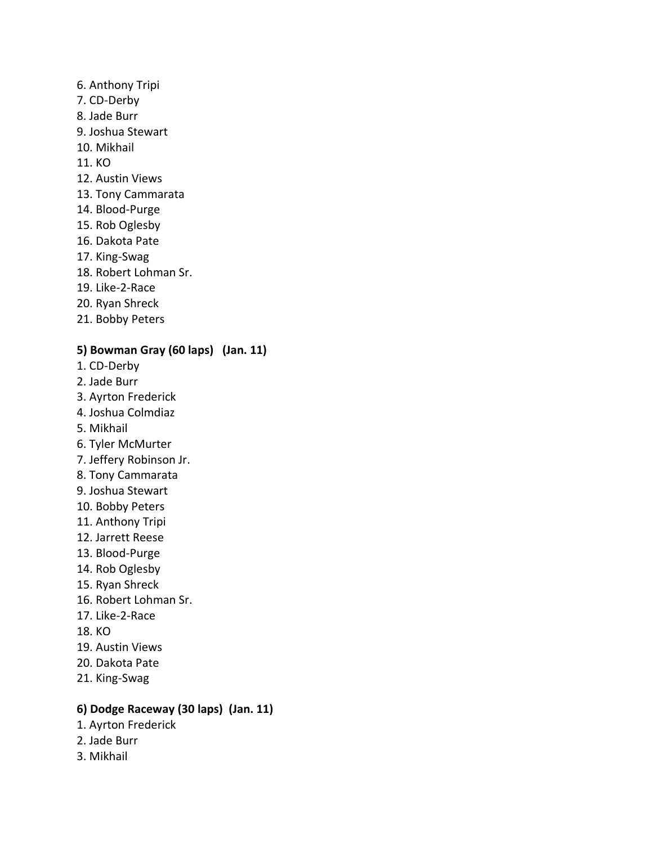- 6. Anthony Tripi
- 7. CD-Derby
- 8. Jade Burr
- 9. Joshua Stewart
- 10. Mikhail
- 11. KO
- 12. Austin Views
- 13. Tony Cammarata
- 14. Blood-Purge
- 15. Rob Oglesby
- 16. Dakota Pate
- 17. King-Swag
- 18. Robert Lohman Sr.
- 19. Like-2-Race
- 20. Ryan Shreck
- 21. Bobby Peters

# **5) Bowman Gray (60 laps) (Jan. 11)**

- 1. CD-Derby
- 2. Jade Burr
- 3. Ayrton Frederick
- 4. Joshua Colmdiaz
- 5. Mikhail
- 6. Tyler McMurter
- 7. Jeffery Robinson Jr.
- 8. Tony Cammarata
- 9. Joshua Stewart
- 10. Bobby Peters
- 11. Anthony Tripi
- 12. Jarrett Reese
- 13. Blood-Purge
- 14. Rob Oglesby
- 15. Ryan Shreck
- 16. Robert Lohman Sr.
- 17. Like-2-Race
- 18. KO
- 19. Austin Views
- 20. Dakota Pate
- 21. King-Swag

# **6) Dodge Raceway (30 laps) (Jan. 11)**

- 1. Ayrton Frederick
- 2. Jade Burr
- 3. Mikhail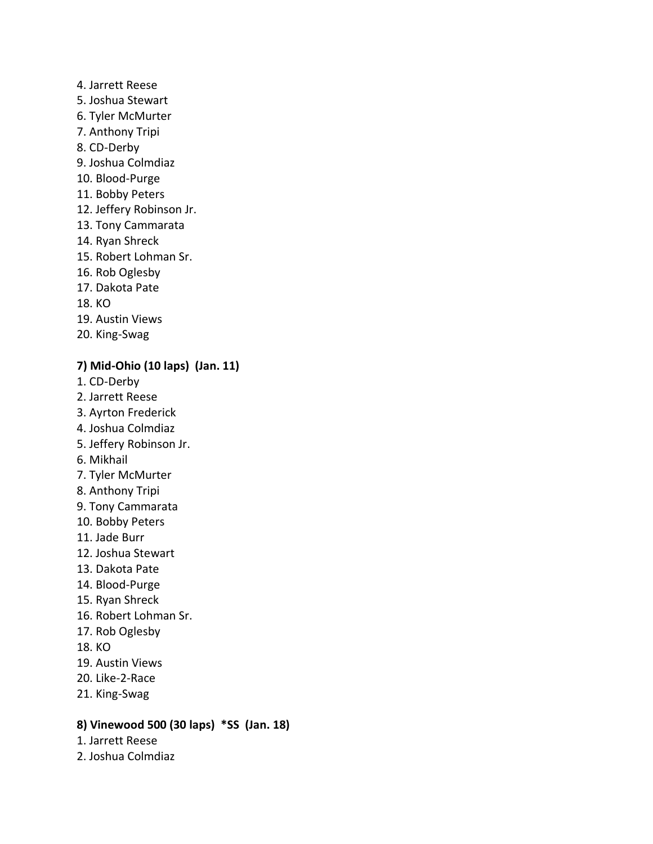- 4. Jarrett Reese
- 5. Joshua Stewart
- 6. Tyler McMurter
- 7. Anthony Tripi
- 8. CD-Derby
- 9. Joshua Colmdiaz
- 10. Blood-Purge
- 11. Bobby Peters
- 12. Jeffery Robinson Jr.
- 13. Tony Cammarata
- 14. Ryan Shreck
- 15. Robert Lohman Sr.
- 16. Rob Oglesby
- 17. Dakota Pate
- 18. KO
- 19. Austin Views
- 20. King-Swag

#### **7) Mid-Ohio (10 laps) (Jan. 11)**

- 1. CD-Derby
- 2. Jarrett Reese
- 3. Ayrton Frederick
- 4. Joshua Colmdiaz
- 5. Jeffery Robinson Jr.
- 6. Mikhail
- 7. Tyler McMurter
- 8. Anthony Tripi
- 9. Tony Cammarata
- 10. Bobby Peters
- 11. Jade Burr
- 12. Joshua Stewart
- 13. Dakota Pate
- 14. Blood-Purge
- 15. Ryan Shreck
- 16. Robert Lohman Sr.
- 17. Rob Oglesby
- 18. KO
- 19. Austin Views
- 20. Like-2-Race
- 21. King-Swag

#### **8) Vinewood 500 (30 laps) \*SS (Jan. 18)**

- 1. Jarrett Reese
- 2. Joshua Colmdiaz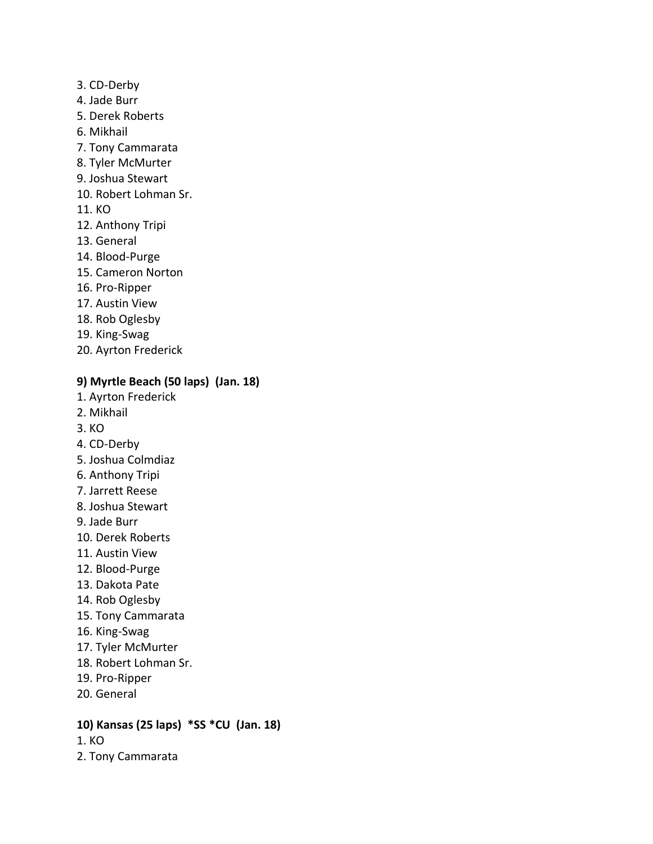- 3. CD-Derby
- 4. Jade Burr
- 5. Derek Roberts
- 6. Mikhail
- 7. Tony Cammarata
- 8. Tyler McMurter
- 9. Joshua Stewart
- 10. Robert Lohman Sr.
- 11. KO
- 12. Anthony Tripi
- 13. General
- 14. Blood-Purge
- 15. Cameron Norton
- 16. Pro-Ripper
- 17. Austin View
- 18. Rob Oglesby
- 19. King-Swag
- 20. Ayrton Frederick

#### **9) Myrtle Beach (50 laps) (Jan. 18)**

- 1. Ayrton Frederick
- 2. Mikhail
- 3. KO
- 4. CD-Derby
- 5. Joshua Colmdiaz
- 6. Anthony Tripi
- 7. Jarrett Reese
- 8. Joshua Stewart
- 9. Jade Burr
- 10. Derek Roberts
- 11. Austin View
- 12. Blood-Purge
- 13. Dakota Pate
- 14. Rob Oglesby
- 15. Tony Cammarata
- 16. King-Swag
- 17. Tyler McMurter
- 18. Robert Lohman Sr.
- 19. Pro-Ripper
- 20. General

# **10) Kansas (25 laps) \*SS \*CU (Jan. 18)**

- 1. KO
- 2. Tony Cammarata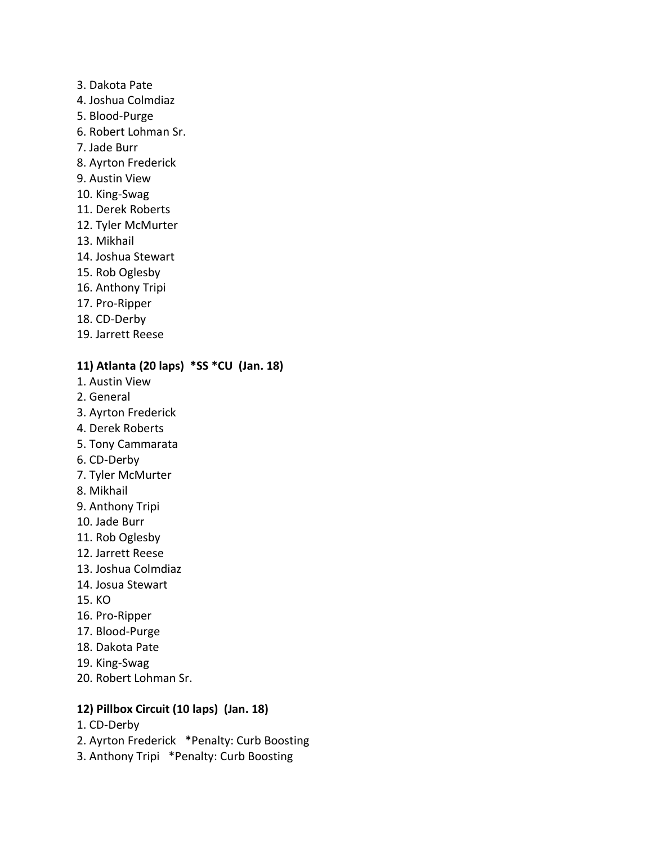- 3. Dakota Pate
- 4. Joshua Colmdiaz
- 5. Blood-Purge
- 6. Robert Lohman Sr.
- 7. Jade Burr
- 8. Ayrton Frederick
- 9. Austin View
- 10. King-Swag
- 11. Derek Roberts
- 12. Tyler McMurter
- 13. Mikhail
- 14. Joshua Stewart
- 15. Rob Oglesby
- 16. Anthony Tripi
- 17. Pro-Ripper
- 18. CD-Derby
- 19. Jarrett Reese

#### **11) Atlanta (20 laps) \*SS \*CU (Jan. 18)**

- 1. Austin View
- 2. General
- 3. Ayrton Frederick
- 4. Derek Roberts
- 5. Tony Cammarata
- 6. CD-Derby
- 7. Tyler McMurter
- 8. Mikhail
- 9. Anthony Tripi
- 10. Jade Burr
- 11. Rob Oglesby
- 12. Jarrett Reese
- 13. Joshua Colmdiaz
- 14. Josua Stewart
- 15. KO
- 16. Pro-Ripper
- 17. Blood-Purge
- 18. Dakota Pate
- 19. King-Swag
- 20. Robert Lohman Sr.

# **12) Pillbox Circuit (10 laps) (Jan. 18)**

- 1. CD-Derby
- 2. Ayrton Frederick \*Penalty: Curb Boosting
- 3. Anthony Tripi \*Penalty: Curb Boosting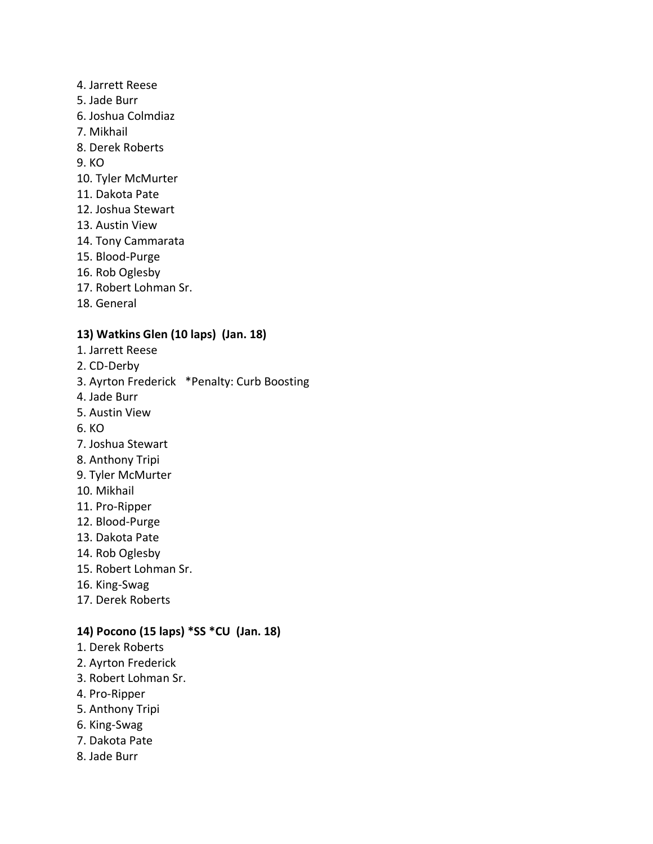- 4. Jarrett Reese
- 5. Jade Burr
- 6. Joshua Colmdiaz
- 7. Mikhail
- 8. Derek Roberts
- 9. KO
- 10. Tyler McMurter
- 11. Dakota Pate
- 12. Joshua Stewart
- 13. Austin View
- 14. Tony Cammarata
- 15. Blood-Purge
- 16. Rob Oglesby
- 17. Robert Lohman Sr.
- 18. General

#### **13) Watkins Glen (10 laps) (Jan. 18)**

- 1. Jarrett Reese
- 2. CD-Derby
- 3. Ayrton Frederick \*Penalty: Curb Boosting
- 4. Jade Burr
- 5. Austin View
- 6. KO
- 7. Joshua Stewart
- 8. Anthony Tripi
- 9. Tyler McMurter
- 10. Mikhail
- 11. Pro-Ripper
- 12. Blood-Purge
- 13. Dakota Pate
- 14. Rob Oglesby
- 15. Robert Lohman Sr.
- 16. King-Swag
- 17. Derek Roberts

#### **14) Pocono (15 laps) \*SS \*CU (Jan. 18)**

- 1. Derek Roberts
- 2. Ayrton Frederick
- 3. Robert Lohman Sr.
- 4. Pro-Ripper
- 5. Anthony Tripi
- 6. King-Swag
- 7. Dakota Pate
- 8. Jade Burr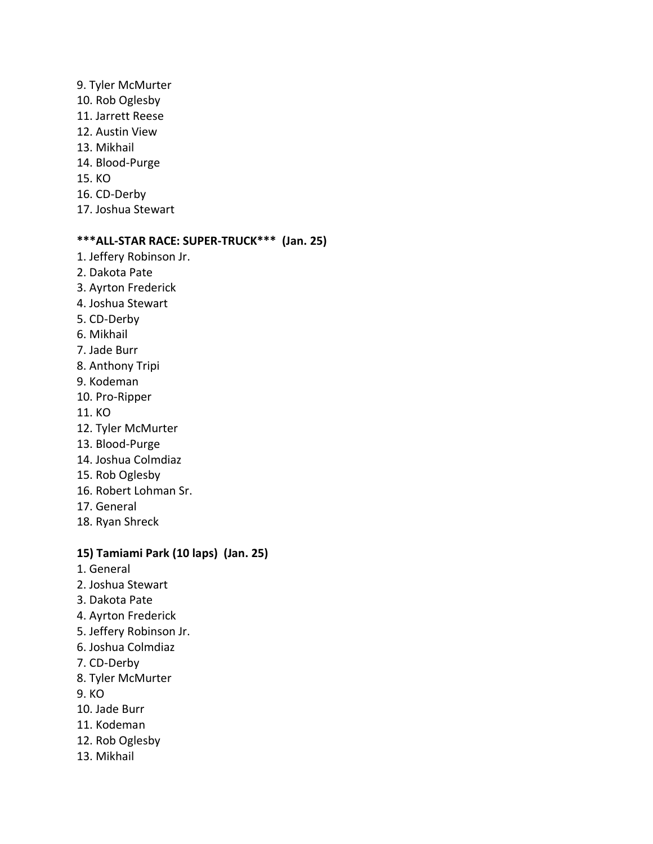- 9. Tyler McMurter 10. Rob Oglesby 11. Jarrett Reese 12. Austin View 13. Mikhail 14. Blood-Purge 15. KO 16. CD-Derby
- 17. Joshua Stewart

# **\*\*\*ALL-STAR RACE: SUPER-TRUCK\*\*\* (Jan. 25)**

- 1. Jeffery Robinson Jr.
- 2. Dakota Pate
- 3. Ayrton Frederick
- 4. Joshua Stewart
- 5. CD-Derby
- 6. Mikhail
- 7. Jade Burr
- 8. Anthony Tripi
- 9. Kodeman
- 10. Pro-Ripper
- 11. KO
- 12. Tyler McMurter
- 13. Blood-Purge
- 14. Joshua Colmdiaz
- 15. Rob Oglesby
- 16. Robert Lohman Sr.
- 17. General
- 18. Ryan Shreck

# **15) Tamiami Park (10 laps) (Jan. 25)**

- 1. General
- 2. Joshua Stewart
- 3. Dakota Pate
- 4. Ayrton Frederick
- 5. Jeffery Robinson Jr.
- 6. Joshua Colmdiaz
- 7. CD-Derby
- 8. Tyler McMurter
- 9. KO
- 10. Jade Burr
- 11. Kodeman
- 12. Rob Oglesby
- 13. Mikhail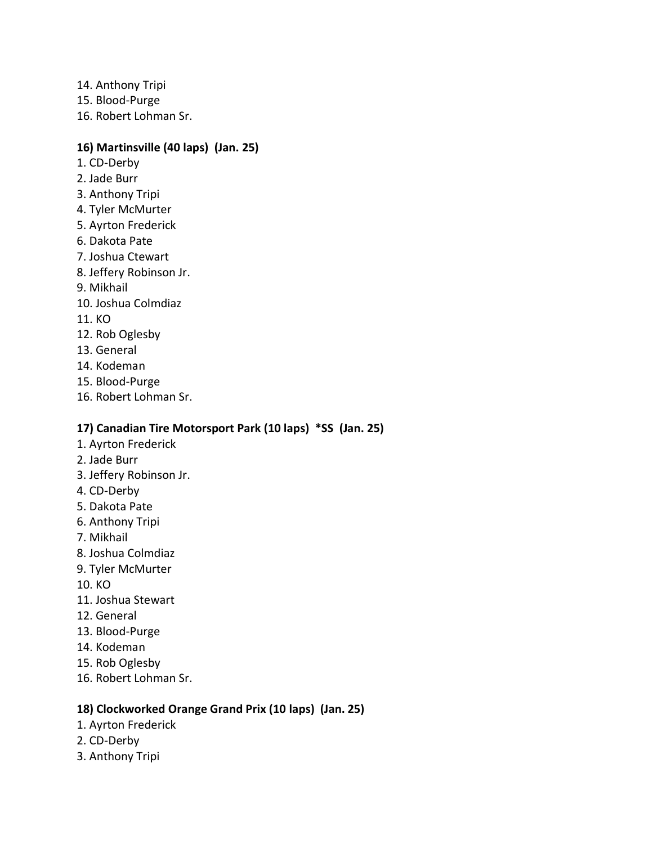- 14. Anthony Tripi
- 15. Blood-Purge
- 16. Robert Lohman Sr.

# **16) Martinsville (40 laps) (Jan. 25)**

- 1. CD-Derby
- 2. Jade Burr
- 3. Anthony Tripi
- 4. Tyler McMurter
- 5. Ayrton Frederick
- 6. Dakota Pate
- 7. Joshua Ctewart
- 8. Jeffery Robinson Jr.
- 9. Mikhail
- 10. Joshua Colmdiaz
- 11. KO
- 12. Rob Oglesby
- 13. General
- 14. Kodeman
- 15. Blood-Purge
- 16. Robert Lohman Sr.

# **17) Canadian Tire Motorsport Park (10 laps) \*SS (Jan. 25)**

- 1. Ayrton Frederick
- 2. Jade Burr
- 3. Jeffery Robinson Jr.
- 4. CD-Derby
- 5. Dakota Pate
- 6. Anthony Tripi
- 7. Mikhail
- 8. Joshua Colmdiaz
- 9. Tyler McMurter
- 10. KO
- 11. Joshua Stewart
- 12. General
- 13. Blood-Purge
- 14. Kodeman
- 15. Rob Oglesby
- 16. Robert Lohman Sr.

# **18) Clockworked Orange Grand Prix (10 laps) (Jan. 25)**

- 1. Ayrton Frederick
- 2. CD-Derby
- 3. Anthony Tripi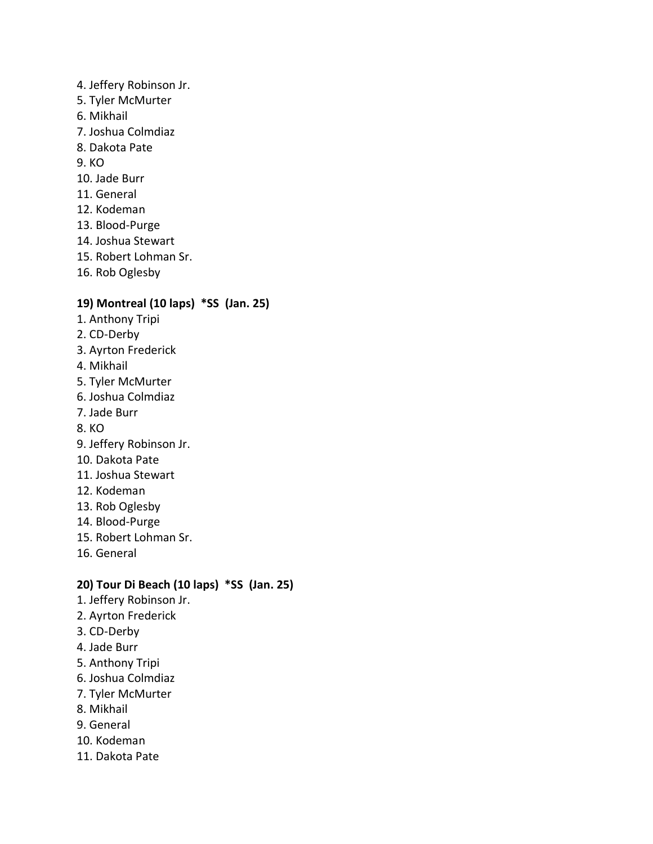- 4. Jeffery Robinson Jr.
- 5. Tyler McMurter
- 6. Mikhail
- 7. Joshua Colmdiaz
- 8. Dakota Pate
- 9. KO
- 10. Jade Burr
- 11. General
- 12. Kodeman
- 13. Blood-Purge
- 14. Joshua Stewart
- 15. Robert Lohman Sr.
- 16. Rob Oglesby

#### **19) Montreal (10 laps) \*SS (Jan. 25)**

- 1. Anthony Tripi
- 2. CD-Derby
- 3. Ayrton Frederick
- 4. Mikhail
- 5. Tyler McMurter
- 6. Joshua Colmdiaz
- 7. Jade Burr
- 8. KO
- 9. Jeffery Robinson Jr.
- 10. Dakota Pate
- 11. Joshua Stewart
- 12. Kodeman
- 13. Rob Oglesby
- 14. Blood-Purge
- 15. Robert Lohman Sr.
- 16. General

#### **20) Tour Di Beach (10 laps) \*SS (Jan. 25)**

- 1. Jeffery Robinson Jr.
- 2. Ayrton Frederick
- 3. CD-Derby
- 4. Jade Burr
- 5. Anthony Tripi
- 6. Joshua Colmdiaz
- 7. Tyler McMurter
- 8. Mikhail
- 9. General
- 10. Kodeman
- 11. Dakota Pate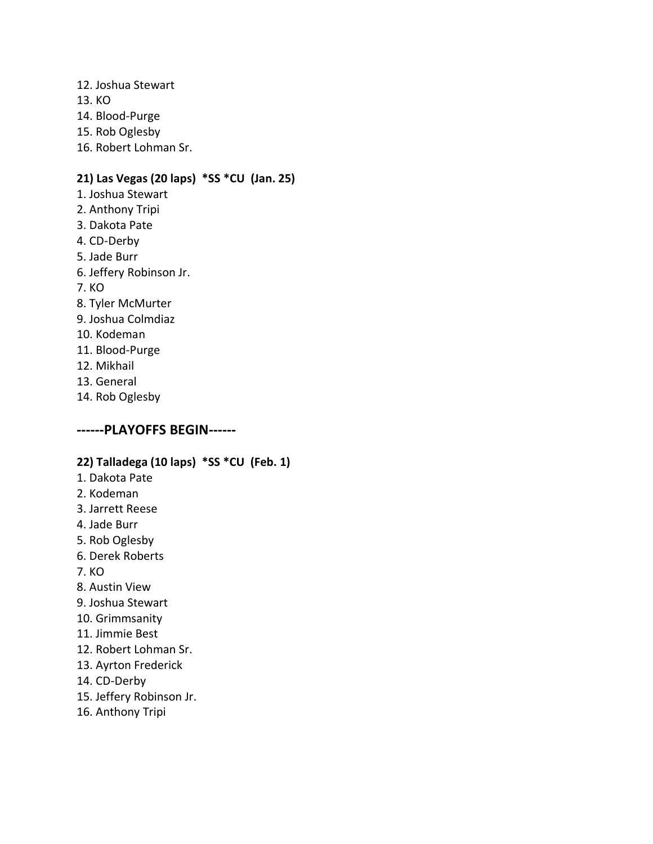- 12. Joshua Stewart
- 13. KO
- 14. Blood-Purge
- 15. Rob Oglesby
- 16. Robert Lohman Sr.

# **21) Las Vegas (20 laps) \*SS \*CU (Jan. 25)**

- 1. Joshua Stewart
- 2. Anthony Tripi
- 3. Dakota Pate
- 4. CD-Derby
- 5. Jade Burr
- 6. Jeffery Robinson Jr.
- 7. KO
- 8. Tyler McMurter
- 9. Joshua Colmdiaz
- 10. Kodeman
- 11. Blood-Purge
- 12. Mikhail
- 13. General
- 14. Rob Oglesby

# **------PLAYOFFS BEGIN------**

# **22) Talladega (10 laps) \*SS \*CU (Feb. 1)**

- 1. Dakota Pate
- 2. Kodeman
- 3. Jarrett Reese
- 4. Jade Burr
- 5. Rob Oglesby
- 6. Derek Roberts
- 7. KO
- 8. Austin View
- 9. Joshua Stewart
- 10. Grimmsanity
- 11. Jimmie Best
- 12. Robert Lohman Sr.
- 13. Ayrton Frederick
- 14. CD-Derby
- 15. Jeffery Robinson Jr.
- 16. Anthony Tripi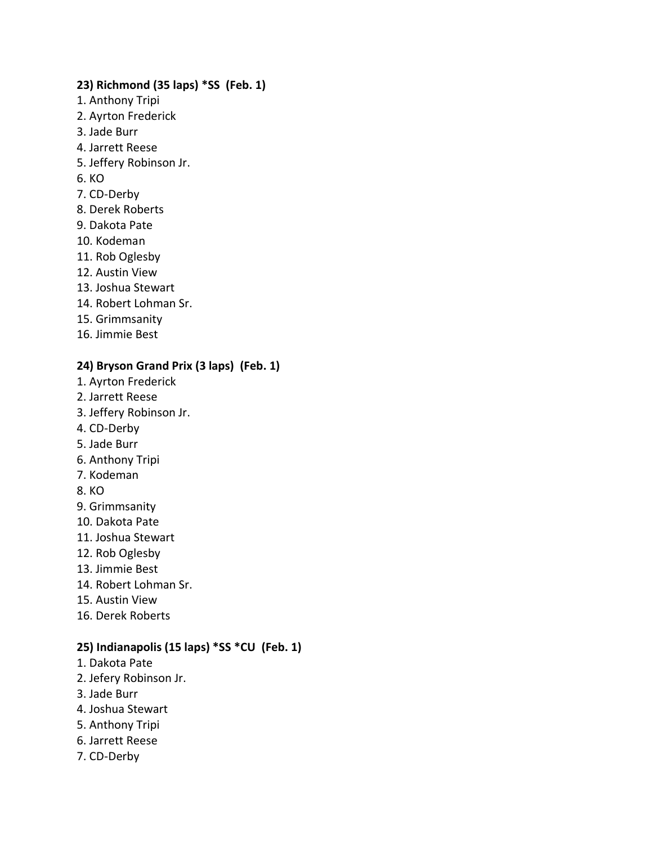#### **23) Richmond (35 laps) \*SS (Feb. 1)**

- 1. Anthony Tripi
- 2. Ayrton Frederick
- 3. Jade Burr
- 4. Jarrett Reese
- 5. Jeffery Robinson Jr.
- 6. KO
- 7. CD-Derby
- 8. Derek Roberts
- 9. Dakota Pate
- 10. Kodeman
- 11. Rob Oglesby
- 12. Austin View
- 13. Joshua Stewart
- 14. Robert Lohman Sr.
- 15. Grimmsanity
- 16. Jimmie Best

#### **24) Bryson Grand Prix (3 laps) (Feb. 1)**

- 1. Ayrton Frederick
- 2. Jarrett Reese
- 3. Jeffery Robinson Jr.
- 4. CD-Derby
- 5. Jade Burr
- 6. Anthony Tripi
- 7. Kodeman
- 8. KO
- 9. Grimmsanity
- 10. Dakota Pate
- 11. Joshua Stewart
- 12. Rob Oglesby
- 13. Jimmie Best
- 14. Robert Lohman Sr.
- 15. Austin View
- 16. Derek Roberts

# **25) Indianapolis (15 laps) \*SS \*CU (Feb. 1)**

- 1. Dakota Pate
- 2. Jefery Robinson Jr.
- 3. Jade Burr
- 4. Joshua Stewart
- 5. Anthony Tripi
- 6. Jarrett Reese
- 7. CD-Derby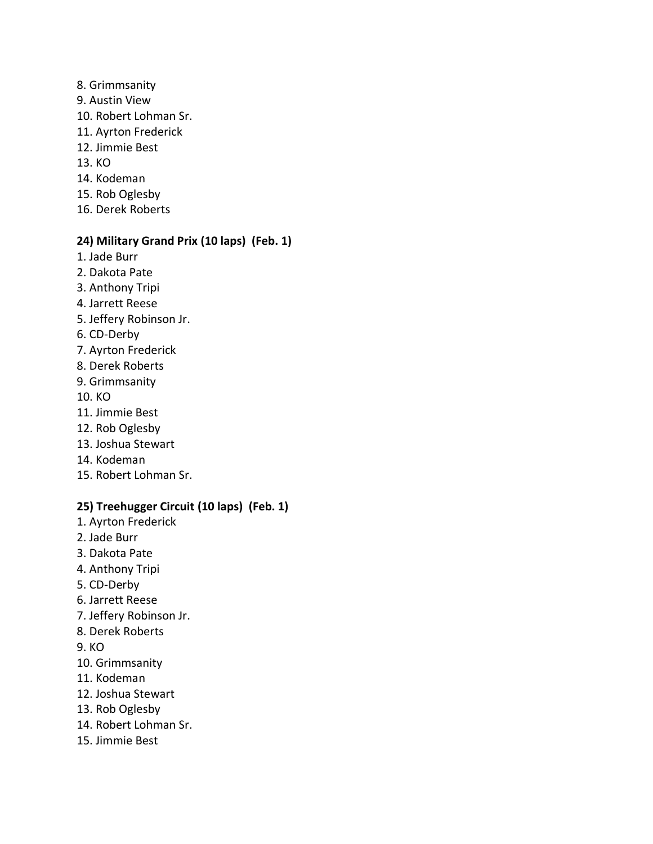- 8. Grimmsanity
- 9. Austin View
- 10. Robert Lohman Sr.
- 11. Ayrton Frederick
- 12. Jimmie Best
- 13. KO
- 14. Kodeman
- 15. Rob Oglesby
- 16. Derek Roberts

#### **24) Military Grand Prix (10 laps) (Feb. 1)**

- 1. Jade Burr
- 2. Dakota Pate
- 3. Anthony Tripi
- 4. Jarrett Reese
- 5. Jeffery Robinson Jr.
- 6. CD-Derby
- 7. Ayrton Frederick
- 8. Derek Roberts
- 9. Grimmsanity
- 10. KO
- 11. Jimmie Best
- 12. Rob Oglesby
- 13. Joshua Stewart
- 14. Kodeman
- 15. Robert Lohman Sr.

# **25) Treehugger Circuit (10 laps) (Feb. 1)**

- 1. Ayrton Frederick
- 2. Jade Burr
- 3. Dakota Pate
- 4. Anthony Tripi
- 5. CD-Derby
- 6. Jarrett Reese
- 7. Jeffery Robinson Jr.
- 8. Derek Roberts
- 9. KO
- 10. Grimmsanity
- 11. Kodeman
- 12. Joshua Stewart
- 13. Rob Oglesby
- 14. Robert Lohman Sr.
- 15. Jimmie Best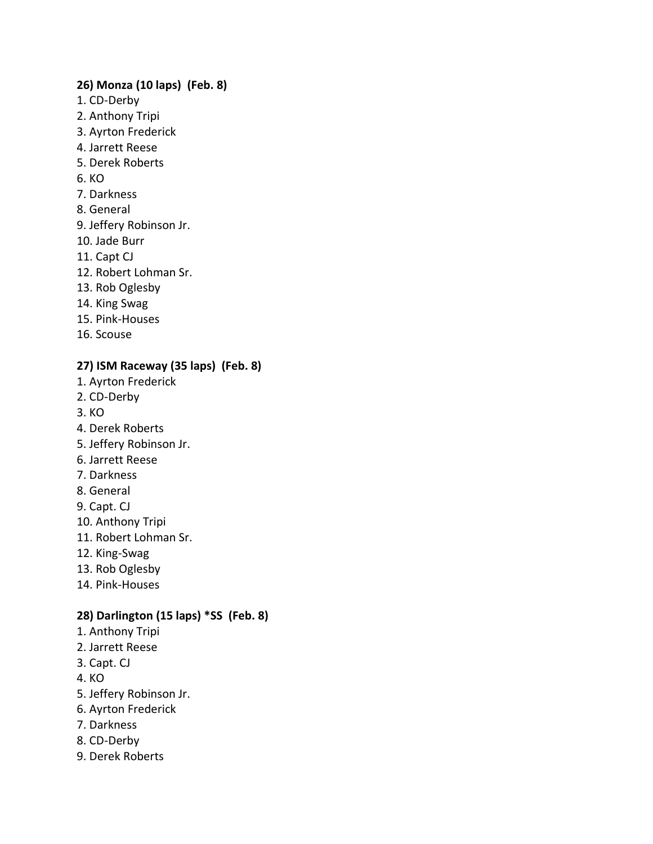#### **26) Monza (10 laps) (Feb. 8)**

- 1. CD-Derby
- 2. Anthony Tripi
- 3. Ayrton Frederick
- 4. Jarrett Reese
- 5. Derek Roberts
- 6. KO
- 7. Darkness
- 8. General
- 9. Jeffery Robinson Jr.
- 10. Jade Burr
- 11. Capt CJ
- 12. Robert Lohman Sr.
- 13. Rob Oglesby
- 14. King Swag
- 15. Pink-Houses
- 16. Scouse

# **27) ISM Raceway (35 laps) (Feb. 8)**

- 1. Ayrton Frederick
- 2. CD-Derby
- 3. KO
- 4. Derek Roberts
- 5. Jeffery Robinson Jr.
- 6. Jarrett Reese
- 7. Darkness
- 8. General
- 9. Capt. CJ
- 10. Anthony Tripi
- 11. Robert Lohman Sr.
- 12. King-Swag
- 13. Rob Oglesby
- 14. Pink-Houses

# **28) Darlington (15 laps) \*SS (Feb. 8)**

- 1. Anthony Tripi
- 2. Jarrett Reese
- 3. Capt. CJ
- 4. KO
- 5. Jeffery Robinson Jr.
- 6. Ayrton Frederick
- 7. Darkness
- 8. CD-Derby
- 9. Derek Roberts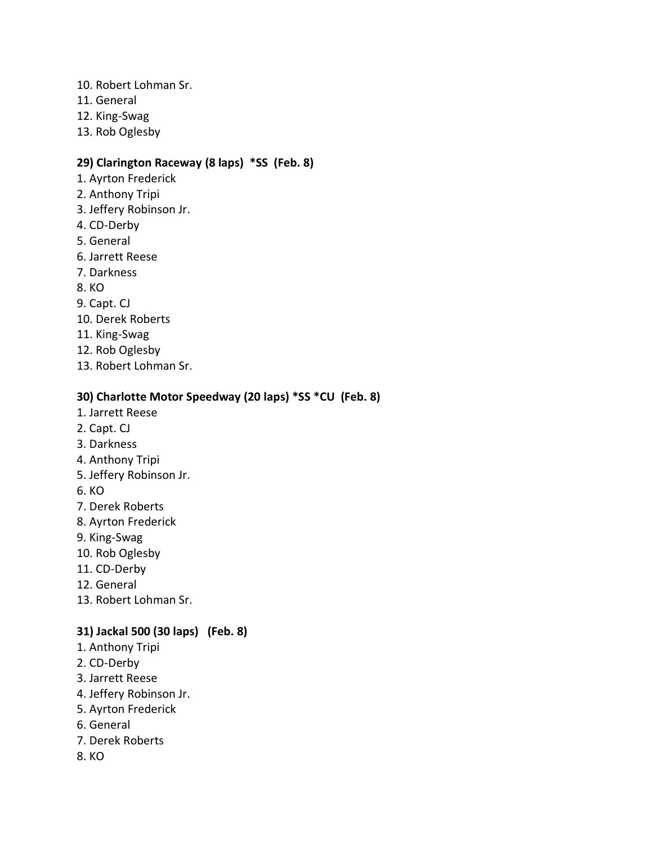- 10. Robert Lohman Sr.
- 11. General
- 12. King-Swag
- 13. Rob Oglesby

#### **29) Clarington Raceway (8 laps) \*SS (Feb. 8)**

- 1. Ayrton Frederick
- 2. Anthony Tripi
- 3. Jeffery Robinson Jr.
- 4. CD-Derby
- 5. General
- 6. Jarrett Reese
- 7. Darkness
- 8. KO
- 9. Capt. CJ
- 10. Derek Roberts
- 11. King-Swag
- 12. Rob Oglesby
- 13. Robert Lohman Sr.

#### **30) Charlotte Motor Speedway (20 laps) \*SS \*CU (Feb. 8)**

- 1. Jarrett Reese
- 2. Capt. CJ
- 3. Darkness
- 4. Anthony Tripi
- 5. Jeffery Robinson Jr.
- 6. KO
- 7. Derek Roberts
- 8. Ayrton Frederick
- 9. King-Swag
- 10. Rob Oglesby
- 11. CD-Derby
- 12. General
- 13. Robert Lohman Sr.

#### **31) Jackal 500 (30 laps) (Feb. 8)**

- 1. Anthony Tripi
- 2. CD-Derby
- 3. Jarrett Reese
- 4. Jeffery Robinson Jr.
- 5. Ayrton Frederick
- 6. General
- 7. Derek Roberts
- 8. KO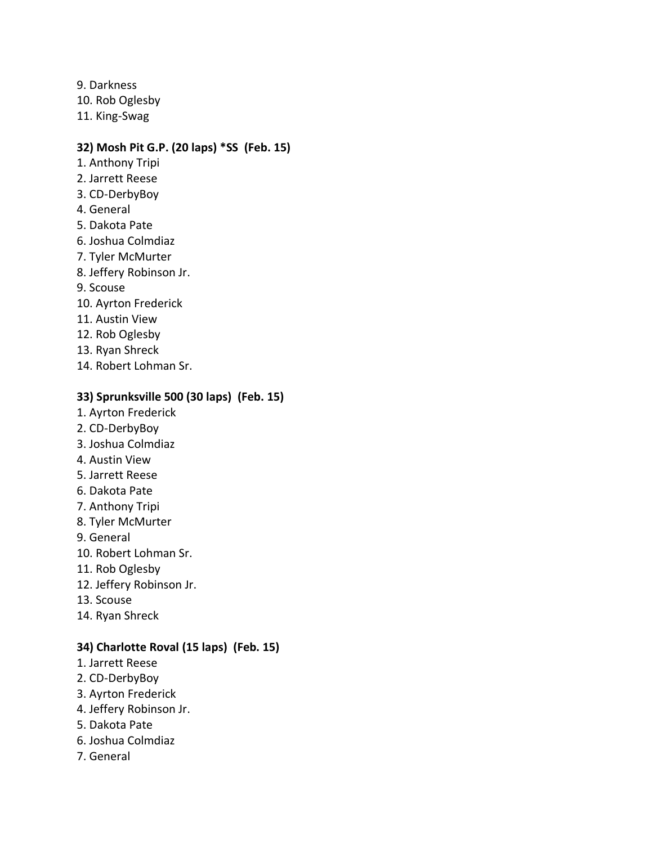9. Darkness 10. Rob Oglesby 11. King-Swag

#### **32) Mosh Pit G.P. (20 laps) \*SS (Feb. 15)**

- 1. Anthony Tripi
- 2. Jarrett Reese
- 3. CD-DerbyBoy
- 4. General
- 5. Dakota Pate
- 6. Joshua Colmdiaz
- 7. Tyler McMurter
- 8. Jeffery Robinson Jr.
- 9. Scouse
- 10. Ayrton Frederick
- 11. Austin View
- 12. Rob Oglesby
- 13. Ryan Shreck
- 14. Robert Lohman Sr.

#### **33) Sprunksville 500 (30 laps) (Feb. 15)**

- 1. Ayrton Frederick
- 2. CD-DerbyBoy
- 3. Joshua Colmdiaz
- 4. Austin View
- 5. Jarrett Reese
- 6. Dakota Pate
- 7. Anthony Tripi
- 8. Tyler McMurter
- 9. General
- 10. Robert Lohman Sr.
- 11. Rob Oglesby
- 12. Jeffery Robinson Jr.
- 13. Scouse
- 14. Ryan Shreck

#### **34) Charlotte Roval (15 laps) (Feb. 15)**

- 1. Jarrett Reese
- 2. CD-DerbyBoy
- 3. Ayrton Frederick
- 4. Jeffery Robinson Jr.
- 5. Dakota Pate
- 6. Joshua Colmdiaz
- 7. General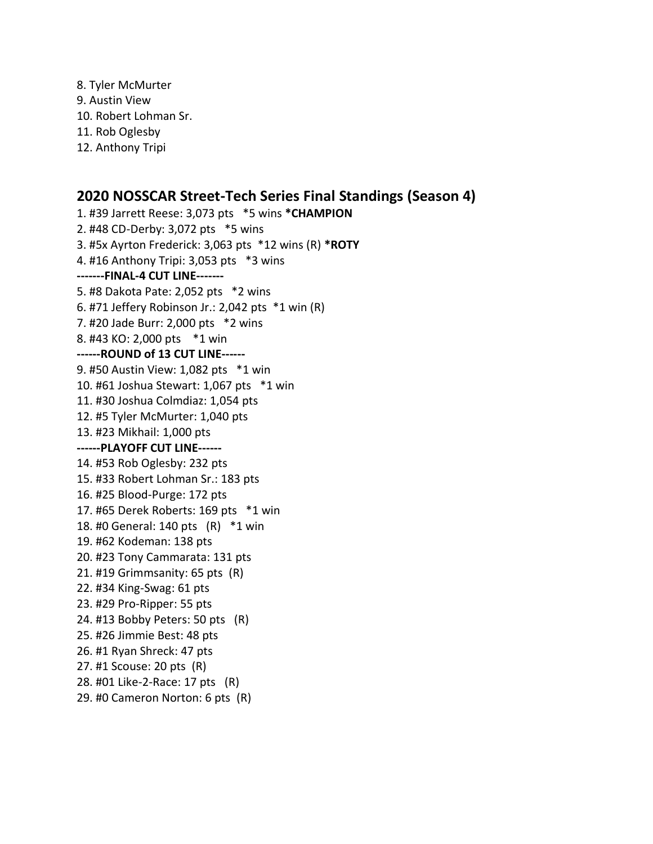- 8. Tyler McMurter 9. Austin View 10. Robert Lohman Sr. 11. Rob Oglesby
- 12. Anthony Tripi

# **2020 NOSSCAR Street-Tech Series Final Standings (Season 4)**

1. #39 Jarrett Reese: 3,073 pts \*5 wins **\*CHAMPION** 2. #48 CD-Derby: 3,072 pts \*5 wins 3. #5x Ayrton Frederick: 3,063 pts \*12 wins (R) **\*ROTY** 4. #16 Anthony Tripi: 3,053 pts \*3 wins **-------FINAL-4 CUT LINE-------** 5. #8 Dakota Pate: 2,052 pts \*2 wins 6. #71 Jeffery Robinson Jr.: 2,042 pts \*1 win (R) 7. #20 Jade Burr: 2,000 pts \*2 wins 8. #43 KO: 2,000 pts \*1 win **------ROUND of 13 CUT LINE------** 9. #50 Austin View: 1,082 pts \*1 win 10. #61 Joshua Stewart: 1,067 pts \*1 win 11. #30 Joshua Colmdiaz: 1,054 pts 12. #5 Tyler McMurter: 1,040 pts 13. #23 Mikhail: 1,000 pts **------PLAYOFF CUT LINE------** 14. #53 Rob Oglesby: 232 pts 15. #33 Robert Lohman Sr.: 183 pts 16. #25 Blood-Purge: 172 pts 17. #65 Derek Roberts: 169 pts \*1 win 18. #0 General: 140 pts (R) \*1 win 19. #62 Kodeman: 138 pts 20. #23 Tony Cammarata: 131 pts 21. #19 Grimmsanity: 65 pts (R) 22. #34 King-Swag: 61 pts 23. #29 Pro-Ripper: 55 pts 24. #13 Bobby Peters: 50 pts (R) 25. #26 Jimmie Best: 48 pts 26. #1 Ryan Shreck: 47 pts 27. #1 Scouse: 20 pts (R) 28. #01 Like-2-Race: 17 pts (R) 29. #0 Cameron Norton: 6 pts (R)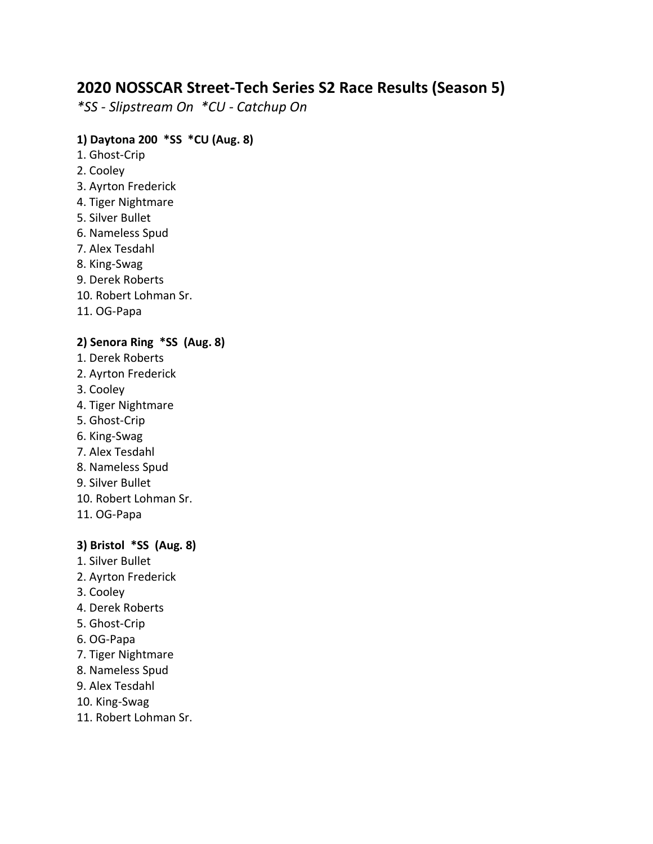# **2020 NOSSCAR Street-Tech Series S2 Race Results (Season 5)**

*\*SS - Slipstream On \*CU - Catchup On*

# **1) Daytona 200 \*SS \*CU (Aug. 8)**

- 1. Ghost-Crip
- 2. Cooley
- 3. Ayrton Frederick
- 4. Tiger Nightmare
- 5. Silver Bullet
- 6. Nameless Spud
- 7. Alex Tesdahl
- 8. King-Swag
- 9. Derek Roberts
- 10. Robert Lohman Sr.
- 11. OG-Papa

# **2) Senora Ring \*SS (Aug. 8)**

- 1. Derek Roberts
- 2. Ayrton Frederick
- 3. Cooley
- 4. Tiger Nightmare
- 5. Ghost-Crip
- 6. King-Swag
- 7. Alex Tesdahl
- 8. Nameless Spud
- 9. Silver Bullet
- 10. Robert Lohman Sr.
- 11. OG-Papa

# **3) Bristol \*SS (Aug. 8)**

- 1. Silver Bullet
- 2. Ayrton Frederick
- 3. Cooley
- 4. Derek Roberts
- 5. Ghost-Crip
- 6. OG-Papa
- 7. Tiger Nightmare
- 8. Nameless Spud
- 9. Alex Tesdahl
- 10. King-Swag
- 11. Robert Lohman Sr.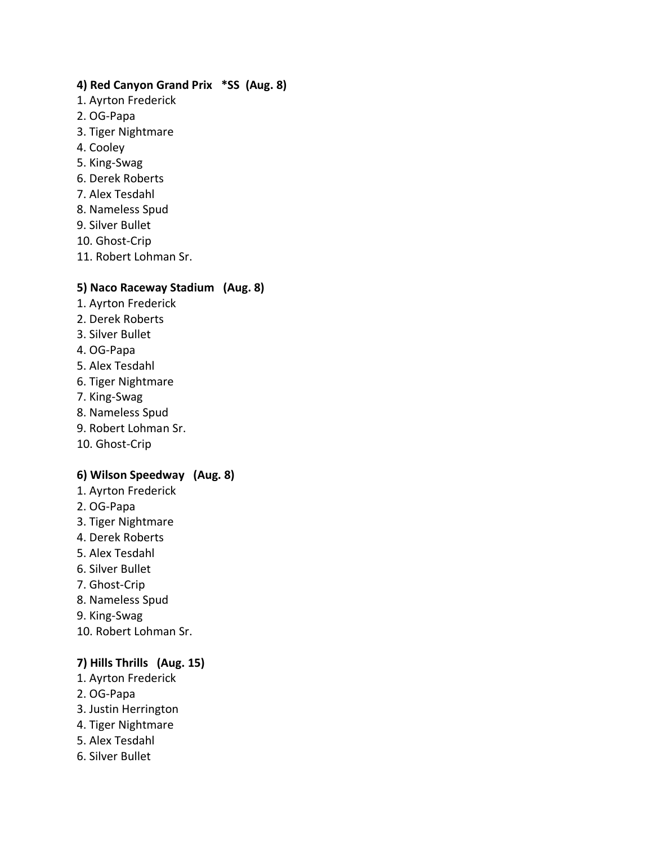#### **4) Red Canyon Grand Prix \*SS (Aug. 8)**

- 1. Ayrton Frederick
- 2. OG-Papa
- 3. Tiger Nightmare
- 4. Cooley
- 5. King-Swag
- 6. Derek Roberts
- 7. Alex Tesdahl
- 8. Nameless Spud
- 9. Silver Bullet
- 10. Ghost-Crip
- 11. Robert Lohman Sr.

#### **5) Naco Raceway Stadium (Aug. 8)**

- 1. Ayrton Frederick
- 2. Derek Roberts
- 3. Silver Bullet
- 4. OG-Papa
- 5. Alex Tesdahl
- 6. Tiger Nightmare
- 7. King-Swag
- 8. Nameless Spud
- 9. Robert Lohman Sr.
- 10. Ghost-Crip

#### **6) Wilson Speedway (Aug. 8)**

- 1. Ayrton Frederick
- 2. OG-Papa
- 3. Tiger Nightmare
- 4. Derek Roberts
- 5. Alex Tesdahl
- 6. Silver Bullet
- 7. Ghost-Crip
- 8. Nameless Spud
- 9. King-Swag
- 10. Robert Lohman Sr.

# **7) Hills Thrills (Aug. 15)**

- 1. Ayrton Frederick
- 2. OG-Papa
- 3. Justin Herrington
- 4. Tiger Nightmare
- 5. Alex Tesdahl
- 6. Silver Bullet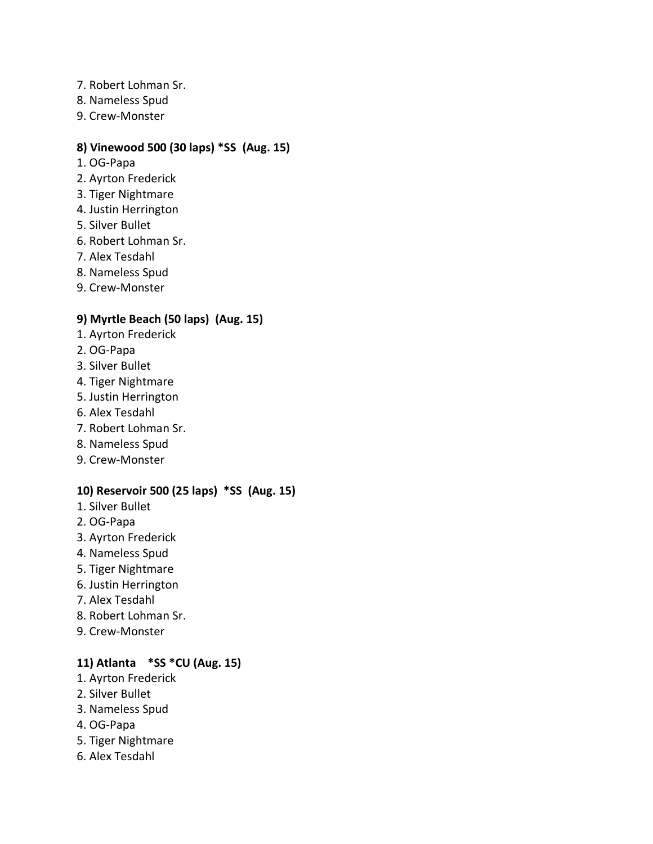- 7. Robert Lohman Sr.
- 8. Nameless Spud
- 9. Crew-Monster

# **8) Vinewood 500 (30 laps) \*SS (Aug. 15)**

- 1. OG-Papa
- 2. Ayrton Frederick
- 3. Tiger Nightmare
- 4. Justin Herrington
- 5. Silver Bullet
- 6. Robert Lohman Sr.
- 7. Alex Tesdahl
- 8. Nameless Spud
- 9. Crew-Monster

# **9) Myrtle Beach (50 laps) (Aug. 15)**

- 1. Ayrton Frederick
- 2. OG-Papa
- 3. Silver Bullet
- 4. Tiger Nightmare
- 5. Justin Herrington
- 6. Alex Tesdahl
- 7. Robert Lohman Sr.
- 8. Nameless Spud
- 9. Crew-Monster

#### **10) Reservoir 500 (25 laps) \*SS (Aug. 15)**

- 1. Silver Bullet
- 2. OG-Papa
- 3. Ayrton Frederick
- 4. Nameless Spud
- 5. Tiger Nightmare
- 6. Justin Herrington
- 7. Alex Tesdahl
- 8. Robert Lohman Sr.
- 9. Crew-Monster

# **11) Atlanta \*SS \*CU (Aug. 15)**

- 1. Ayrton Frederick
- 2. Silver Bullet
- 3. Nameless Spud
- 4. OG-Papa
- 5. Tiger Nightmare
- 6. Alex Tesdahl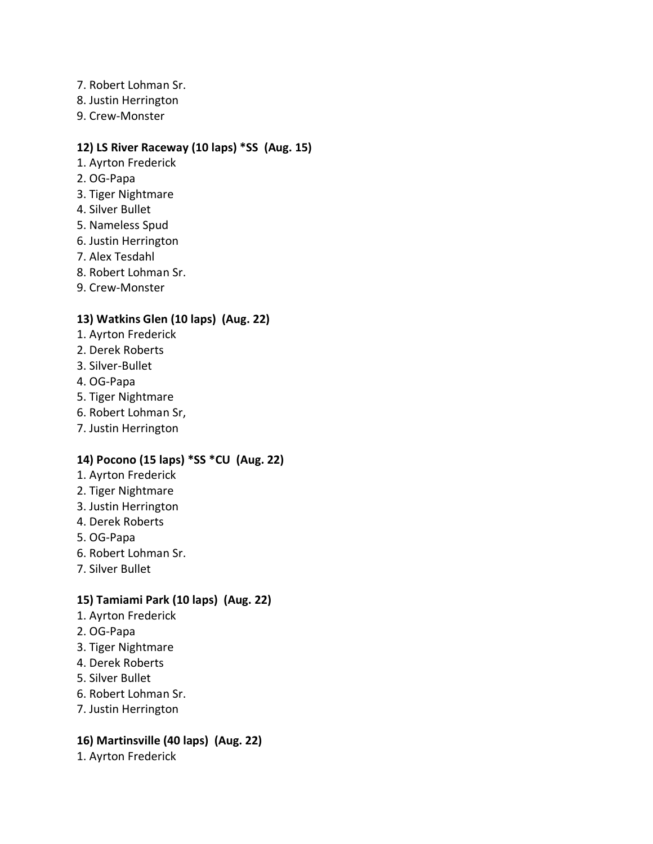- 7. Robert Lohman Sr.
- 8. Justin Herrington
- 9. Crew-Monster

# **12) LS River Raceway (10 laps) \*SS (Aug. 15)**

- 1. Ayrton Frederick
- 2. OG-Papa
- 3. Tiger Nightmare
- 4. Silver Bullet
- 5. Nameless Spud
- 6. Justin Herrington
- 7. Alex Tesdahl
- 8. Robert Lohman Sr.
- 9. Crew-Monster

# **13) Watkins Glen (10 laps) (Aug. 22)**

- 1. Ayrton Frederick
- 2. Derek Roberts
- 3. Silver-Bullet
- 4. OG-Papa
- 5. Tiger Nightmare
- 6. Robert Lohman Sr,
- 7. Justin Herrington

# **14) Pocono (15 laps) \*SS \*CU (Aug. 22)**

- 1. Ayrton Frederick
- 2. Tiger Nightmare
- 3. Justin Herrington
- 4. Derek Roberts
- 5. OG-Papa
- 6. Robert Lohman Sr.
- 7. Silver Bullet

# **15) Tamiami Park (10 laps) (Aug. 22)**

- 1. Ayrton Frederick
- 2. OG-Papa
- 3. Tiger Nightmare
- 4. Derek Roberts
- 5. Silver Bullet
- 6. Robert Lohman Sr.
- 7. Justin Herrington

# **16) Martinsville (40 laps) (Aug. 22)**

1. Ayrton Frederick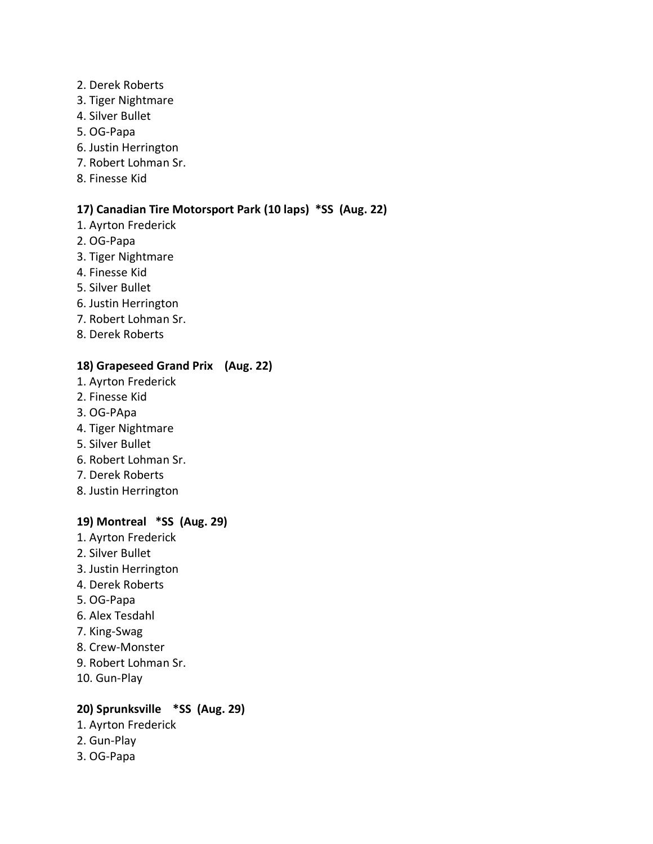- 2. Derek Roberts
- 3. Tiger Nightmare
- 4. Silver Bullet
- 5. OG-Papa
- 6. Justin Herrington
- 7. Robert Lohman Sr.
- 8. Finesse Kid

# **17) Canadian Tire Motorsport Park (10 laps) \*SS (Aug. 22)**

- 1. Ayrton Frederick
- 2. OG-Papa
- 3. Tiger Nightmare
- 4. Finesse Kid
- 5. Silver Bullet
- 6. Justin Herrington
- 7. Robert Lohman Sr.
- 8. Derek Roberts

#### **18) Grapeseed Grand Prix (Aug. 22)**

- 1. Ayrton Frederick
- 2. Finesse Kid
- 3. OG-PApa
- 4. Tiger Nightmare
- 5. Silver Bullet
- 6. Robert Lohman Sr.
- 7. Derek Roberts
- 8. Justin Herrington

# **19) Montreal \*SS (Aug. 29)**

- 1. Ayrton Frederick
- 2. Silver Bullet
- 3. Justin Herrington
- 4. Derek Roberts
- 5. OG-Papa
- 6. Alex Tesdahl
- 7. King-Swag
- 8. Crew-Monster
- 9. Robert Lohman Sr.
- 10. Gun-Play

# **20) Sprunksville \*SS (Aug. 29)**

- 1. Ayrton Frederick
- 2. Gun-Play
- 3. OG-Papa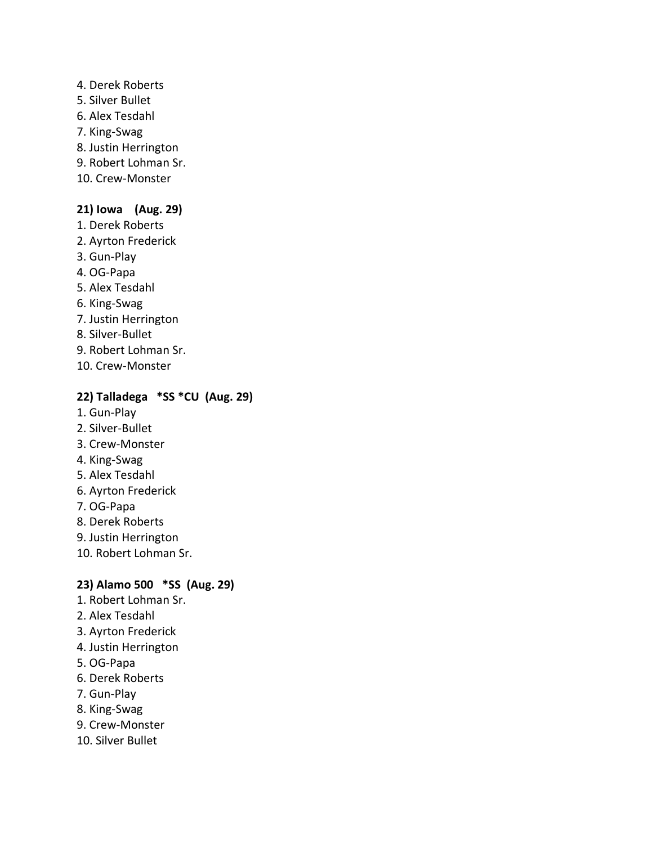- 4. Derek Roberts 5. Silver Bullet 6. Alex Tesdahl 7. King-Swag 8. Justin Herrington 9. Robert Lohman Sr.
- 10. Crew-Monster

#### **21) Iowa (Aug. 29)**

- 1. Derek Roberts
- 2. Ayrton Frederick
- 3. Gun-Play
- 4. OG-Papa
- 5. Alex Tesdahl
- 6. King-Swag
- 7. Justin Herrington
- 8. Silver-Bullet
- 9. Robert Lohman Sr.
- 10. Crew-Monster

#### **22) Talladega \*SS \*CU (Aug. 29)**

- 1. Gun-Play
- 2. Silver-Bullet
- 3. Crew-Monster
- 4. King-Swag
- 5. Alex Tesdahl
- 6. Ayrton Frederick
- 7. OG-Papa
- 8. Derek Roberts
- 9. Justin Herrington
- 10. Robert Lohman Sr.

#### **23) Alamo 500 \*SS (Aug. 29)**

- 1. Robert Lohman Sr.
- 2. Alex Tesdahl
- 3. Ayrton Frederick
- 4. Justin Herrington
- 5. OG-Papa
- 6. Derek Roberts
- 7. Gun-Play
- 8. King-Swag
- 9. Crew-Monster
- 10. Silver Bullet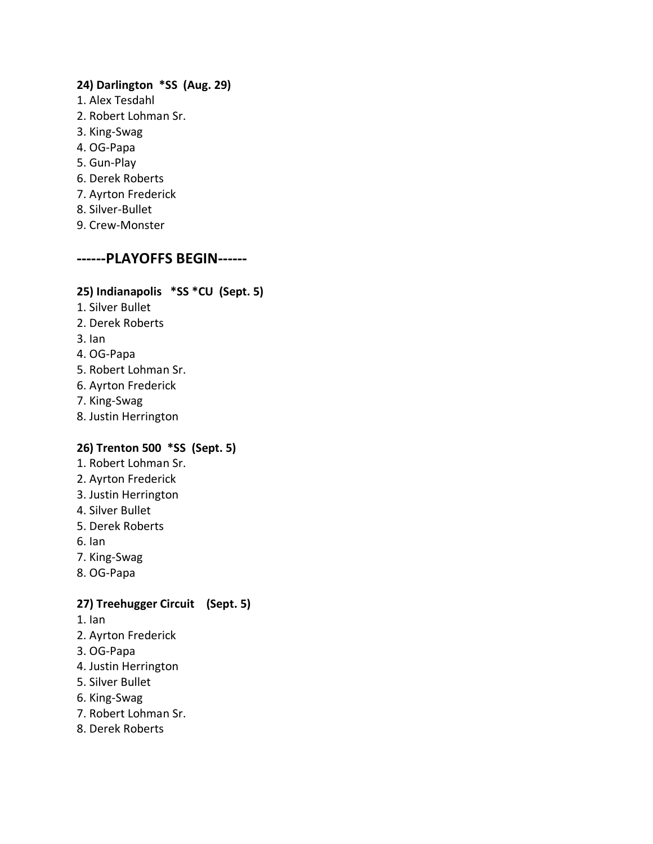#### **24) Darlington \*SS (Aug. 29)**

- 1. Alex Tesdahl
- 2. Robert Lohman Sr.
- 3. King-Swag
- 4. OG-Papa
- 5. Gun-Play
- 6. Derek Roberts
- 7. Ayrton Frederick
- 8. Silver-Bullet
- 9. Crew-Monster

# **------PLAYOFFS BEGIN------**

# **25) Indianapolis \*SS \*CU (Sept. 5)**

- 1. Silver Bullet
- 2. Derek Roberts
- 3. Ian
- 4. OG-Papa
- 5. Robert Lohman Sr.
- 6. Ayrton Frederick
- 7. King-Swag
- 8. Justin Herrington

# **26) Trenton 500 \*SS (Sept. 5)**

- 1. Robert Lohman Sr.
- 2. Ayrton Frederick
- 3. Justin Herrington
- 4. Silver Bullet
- 5. Derek Roberts
- 6. Ian
- 7. King-Swag
- 8. OG-Papa

# **27) Treehugger Circuit (Sept. 5)**

- 1. Ian
- 2. Ayrton Frederick
- 3. OG-Papa
- 4. Justin Herrington
- 5. Silver Bullet
- 6. King-Swag
- 7. Robert Lohman Sr.
- 8. Derek Roberts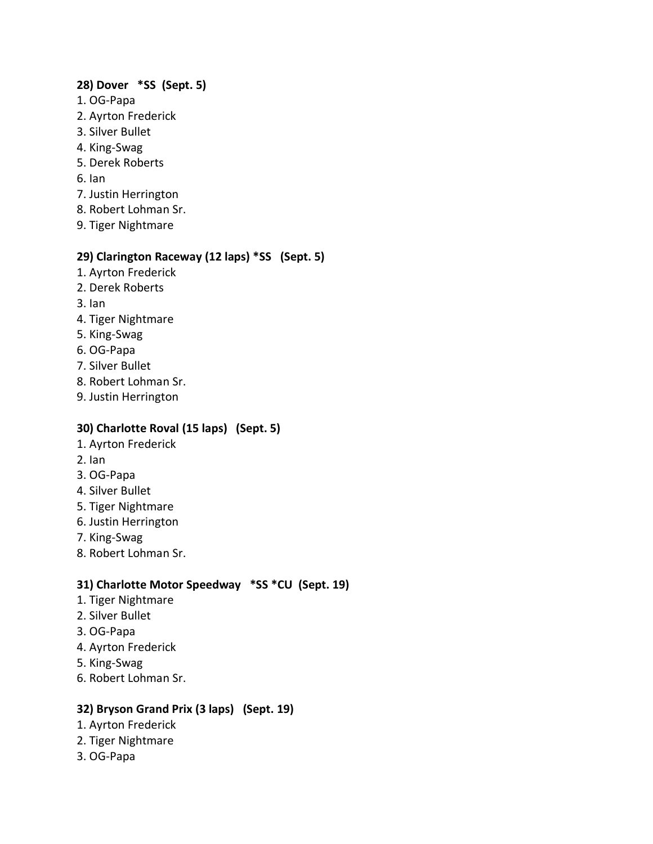#### **28) Dover \*SS (Sept. 5)**

- 1. OG-Papa
- 2. Ayrton Frederick
- 3. Silver Bullet
- 4. King-Swag
- 5. Derek Roberts
- 6. Ian
- 7. Justin Herrington
- 8. Robert Lohman Sr.
- 9. Tiger Nightmare

#### **29) Clarington Raceway (12 laps) \*SS (Sept. 5)**

- 1. Ayrton Frederick
- 2. Derek Roberts
- 3. Ian
- 4. Tiger Nightmare
- 5. King-Swag
- 6. OG-Papa
- 7. Silver Bullet
- 8. Robert Lohman Sr.
- 9. Justin Herrington

# **30) Charlotte Roval (15 laps) (Sept. 5)**

- 1. Ayrton Frederick
- 2. Ian
- 3. OG-Papa
- 4. Silver Bullet
- 5. Tiger Nightmare
- 6. Justin Herrington
- 7. King-Swag
- 8. Robert Lohman Sr.

# **31) Charlotte Motor Speedway \*SS \*CU (Sept. 19)**

- 1. Tiger Nightmare
- 2. Silver Bullet
- 3. OG-Papa
- 4. Ayrton Frederick
- 5. King-Swag
- 6. Robert Lohman Sr.

# **32) Bryson Grand Prix (3 laps) (Sept. 19)**

- 1. Ayrton Frederick
- 2. Tiger Nightmare
- 3. OG-Papa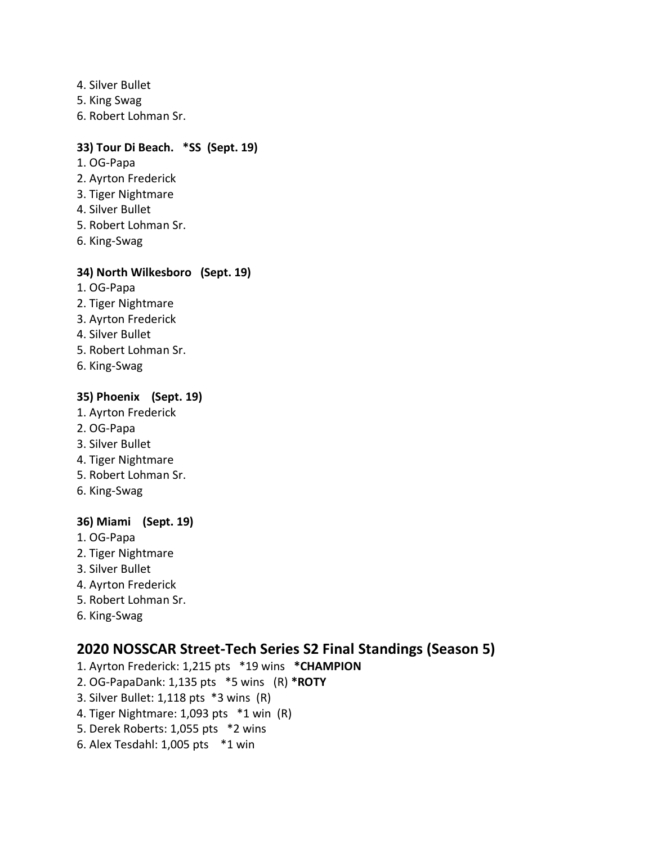- 4. Silver Bullet
- 5. King Swag
- 6. Robert Lohman Sr.

#### **33) Tour Di Beach. \*SS (Sept. 19)**

- 1. OG-Papa
- 2. Ayrton Frederick
- 3. Tiger Nightmare
- 4. Silver Bullet
- 5. Robert Lohman Sr.
- 6. King-Swag

#### **34) North Wilkesboro (Sept. 19)**

- 1. OG-Papa
- 2. Tiger Nightmare
- 3. Ayrton Frederick
- 4. Silver Bullet
- 5. Robert Lohman Sr.
- 6. King-Swag

# **35) Phoenix (Sept. 19)**

- 1. Ayrton Frederick
- 2. OG-Papa
- 3. Silver Bullet
- 4. Tiger Nightmare
- 5. Robert Lohman Sr.
- 6. King-Swag

# **36) Miami (Sept. 19)**

- 1. OG-Papa
- 2. Tiger Nightmare
- 3. Silver Bullet
- 4. Ayrton Frederick
- 5. Robert Lohman Sr.
- 6. King-Swag

# **2020 NOSSCAR Street-Tech Series S2 Final Standings (Season 5)**

- 1. Ayrton Frederick: 1,215 pts \*19 wins **\*CHAMPION**
- 2. OG-PapaDank: 1,135 pts \*5 wins (R) **\*ROTY**
- 3. Silver Bullet: 1,118 pts \*3 wins (R)
- 4. Tiger Nightmare: 1,093 pts \*1 win (R)
- 5. Derek Roberts: 1,055 pts \*2 wins
- 6. Alex Tesdahl: 1,005 pts \*1 win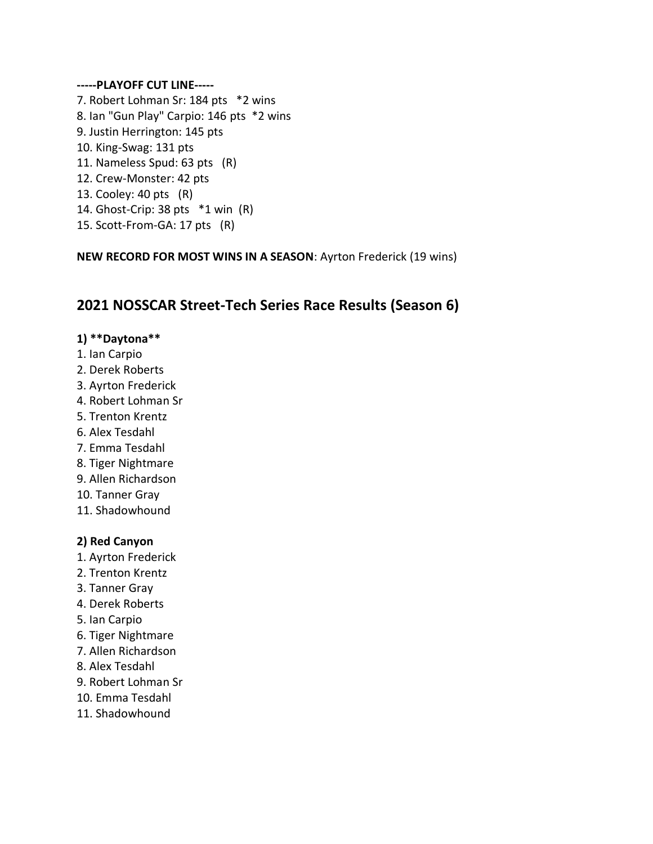#### **-----PLAYOFF CUT LINE-----**

7. Robert Lohman Sr: 184 pts \*2 wins 8. Ian "Gun Play" Carpio: 146 pts \*2 wins 9. Justin Herrington: 145 pts 10. King-Swag: 131 pts 11. Nameless Spud: 63 pts (R) 12. Crew-Monster: 42 pts 13. Cooley: 40 pts (R) 14. Ghost-Crip: 38 pts \*1 win (R) 15. Scott-From-GA: 17 pts (R)

**NEW RECORD FOR MOST WINS IN A SEASON**: Ayrton Frederick (19 wins)

# **2021 NOSSCAR Street-Tech Series Race Results (Season 6)**

#### **1) \*\*Daytona\*\***

- 1. Ian Carpio
- 2. Derek Roberts
- 3. Ayrton Frederick
- 4. Robert Lohman Sr
- 5. Trenton Krentz
- 6. Alex Tesdahl
- 7. Emma Tesdahl
- 8. Tiger Nightmare
- 9. Allen Richardson
- 10. Tanner Gray
- 11. Shadowhound

#### **2) Red Canyon**

- 1. Ayrton Frederick
- 2. Trenton Krentz
- 3. Tanner Gray
- 4. Derek Roberts
- 5. Ian Carpio
- 6. Tiger Nightmare
- 7. Allen Richardson
- 8. Alex Tesdahl
- 9. Robert Lohman Sr
- 10. Emma Tesdahl
- 11. Shadowhound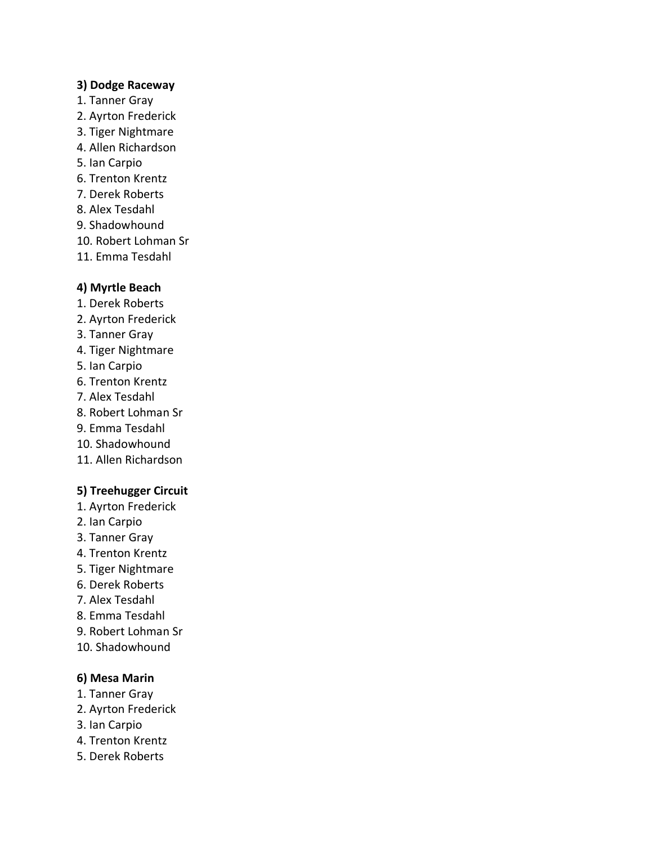#### **3) Dodge Raceway**

- 1. Tanner Gray
- 2. Ayrton Frederick
- 3. Tiger Nightmare
- 4. Allen Richardson
- 5. Ian Carpio
- 6. Trenton Krentz
- 7. Derek Roberts
- 8. Alex Tesdahl
- 9. Shadowhound
- 10. Robert Lohman Sr
- 11. Emma Tesdahl

# **4) Myrtle Beach**

- 1. Derek Roberts
- 2. Ayrton Frederick
- 3. Tanner Gray
- 4. Tiger Nightmare
- 5. Ian Carpio
- 6. Trenton Krentz
- 7. Alex Tesdahl
- 8. Robert Lohman Sr
- 9. Emma Tesdahl
- 10. Shadowhound
- 11. Allen Richardson

# **5) Treehugger Circuit**

- 1. Ayrton Frederick
- 2. Ian Carpio
- 3. Tanner Gray
- 4. Trenton Krentz
- 5. Tiger Nightmare
- 6. Derek Roberts
- 7. Alex Tesdahl
- 8. Emma Tesdahl
- 9. Robert Lohman Sr
- 10. Shadowhound

# **6) Mesa Marin**

- 1. Tanner Gray
- 2. Ayrton Frederick
- 3. Ian Carpio
- 4. Trenton Krentz
- 5. Derek Roberts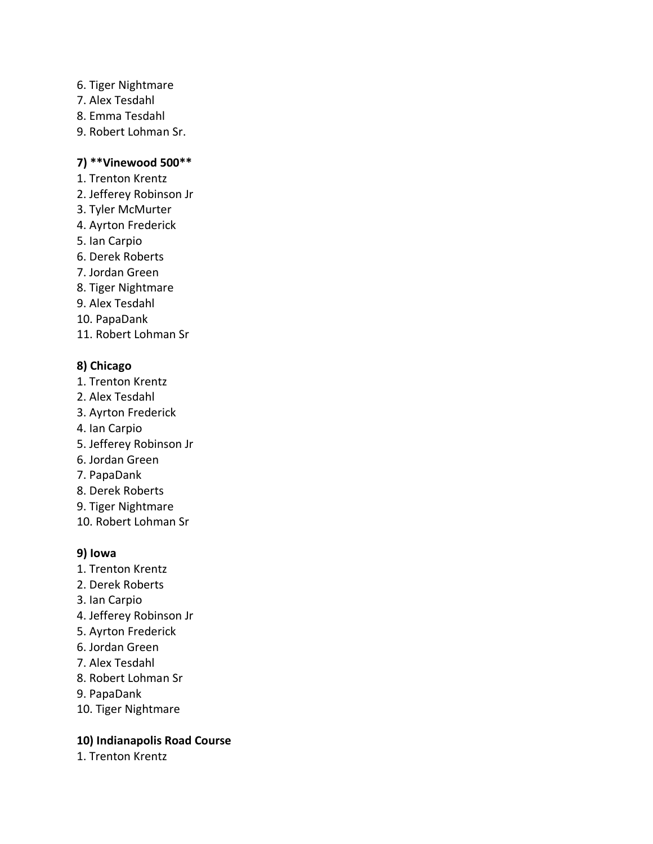- 6. Tiger Nightmare
- 7. Alex Tesdahl
- 8. Emma Tesdahl
- 9. Robert Lohman Sr.

#### **7) \*\*Vinewood 500\*\***

- 1. Trenton Krentz
- 2. Jefferey Robinson Jr
- 3. Tyler McMurter
- 4. Ayrton Frederick
- 5. Ian Carpio
- 6. Derek Roberts
- 7. Jordan Green
- 8. Tiger Nightmare
- 9. Alex Tesdahl
- 10. PapaDank
- 11. Robert Lohman Sr

# **8) Chicago**

- 1. Trenton Krentz
- 2. Alex Tesdahl
- 3. Ayrton Frederick
- 4. Ian Carpio
- 5. Jefferey Robinson Jr
- 6. Jordan Green
- 7. PapaDank
- 8. Derek Roberts
- 9. Tiger Nightmare
- 10. Robert Lohman Sr

# **9) Iowa**

- 1. Trenton Krentz
- 2. Derek Roberts
- 3. Ian Carpio
- 4. Jefferey Robinson Jr
- 5. Ayrton Frederick
- 6. Jordan Green
- 7. Alex Tesdahl
- 8. Robert Lohman Sr
- 9. PapaDank
- 10. Tiger Nightmare

# **10) Indianapolis Road Course**

1. Trenton Krentz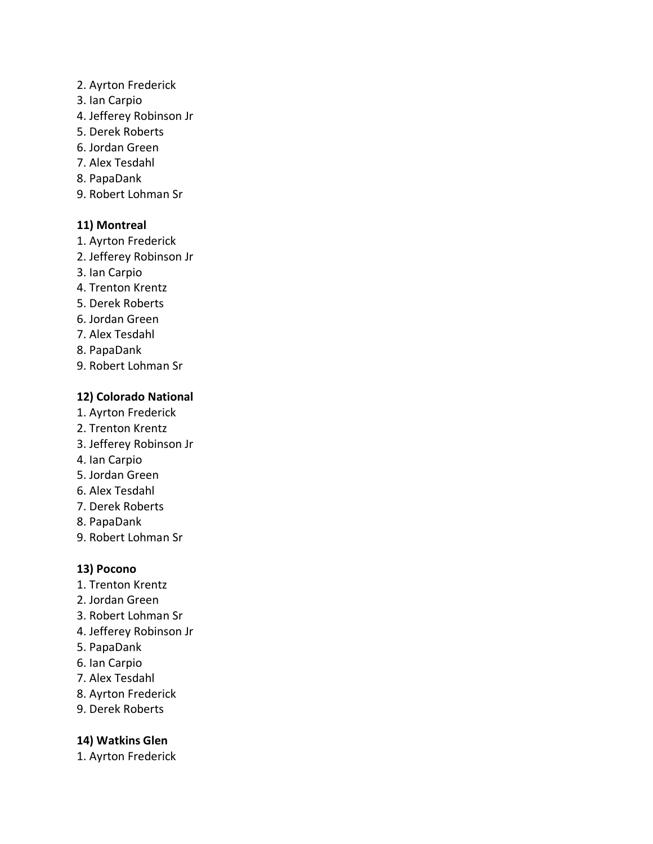#### 2. Ayrton Frederick

- 3. Ian Carpio
- 4. Jefferey Robinson Jr
- 5. Derek Roberts
- 6. Jordan Green
- 7. Alex Tesdahl
- 8. PapaDank
- 9. Robert Lohman Sr

# **11) Montreal**

- 1. Ayrton Frederick
- 2. Jefferey Robinson Jr
- 3. Ian Carpio
- 4. Trenton Krentz
- 5. Derek Roberts
- 6. Jordan Green
- 7. Alex Tesdahl
- 8. PapaDank
- 9. Robert Lohman Sr

# **12) Colorado National**

- 1. Ayrton Frederick
- 2. Trenton Krentz
- 3. Jefferey Robinson Jr
- 4. Ian Carpio
- 5. Jordan Green
- 6. Alex Tesdahl
- 7. Derek Roberts
- 8. PapaDank
- 9. Robert Lohman Sr

# **13) Pocono**

- 1. Trenton Krentz
- 2. Jordan Green
- 3. Robert Lohman Sr
- 4. Jefferey Robinson Jr
- 5. PapaDank
- 6. Ian Carpio
- 7. Alex Tesdahl
- 8. Ayrton Frederick
- 9. Derek Roberts

# **14) Watkins Glen**

1. Ayrton Frederick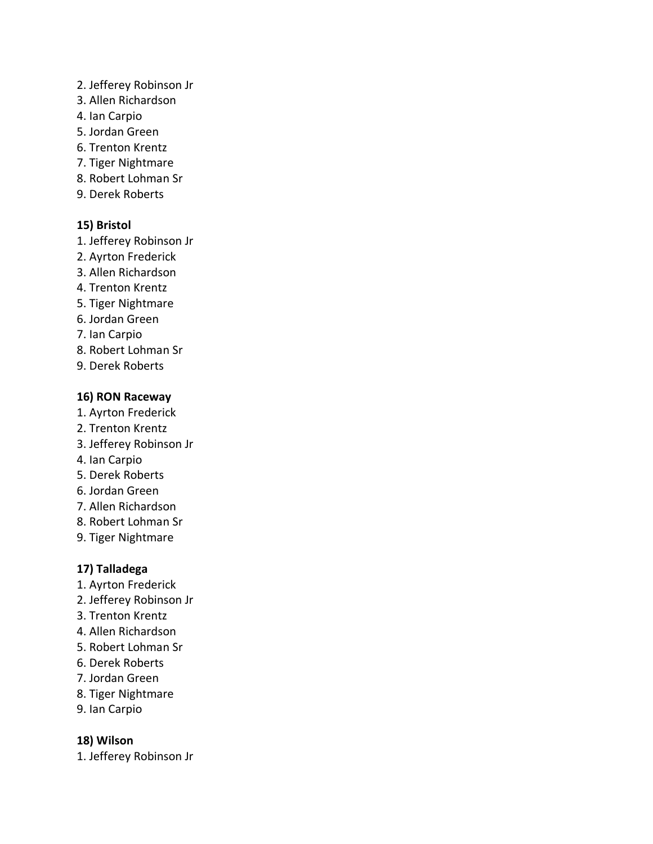- 2. Jefferey Robinson Jr
- 3. Allen Richardson
- 4. Ian Carpio
- 5. Jordan Green
- 6. Trenton Krentz
- 7. Tiger Nightmare
- 8. Robert Lohman Sr
- 9. Derek Roberts

# **15) Bristol**

- 1. Jefferey Robinson Jr
- 2. Ayrton Frederick
- 3. Allen Richardson
- 4. Trenton Krentz
- 5. Tiger Nightmare
- 6. Jordan Green
- 7. Ian Carpio
- 8. Robert Lohman Sr
- 9. Derek Roberts

#### **16) RON Raceway**

- 1. Ayrton Frederick
- 2. Trenton Krentz
- 3. Jefferey Robinson Jr
- 4. Ian Carpio
- 5. Derek Roberts
- 6. Jordan Green
- 7. Allen Richardson
- 8. Robert Lohman Sr
- 9. Tiger Nightmare

# **17) Talladega**

- 1. Ayrton Frederick
- 2. Jefferey Robinson Jr
- 3. Trenton Krentz
- 4. Allen Richardson
- 5. Robert Lohman Sr
- 6. Derek Roberts
- 7. Jordan Green
- 8. Tiger Nightmare
- 9. Ian Carpio

# **18) Wilson**

1. Jefferey Robinson Jr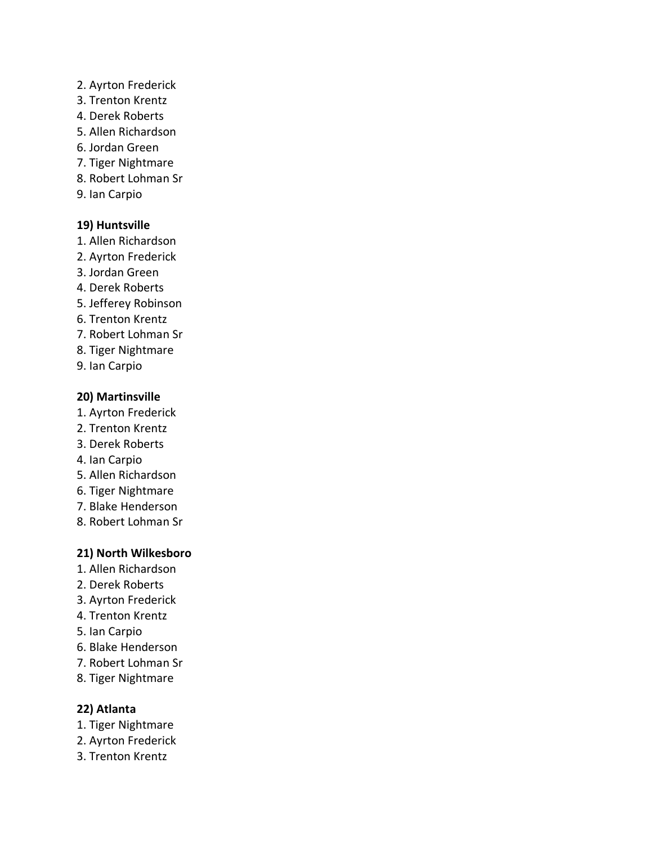#### 2. Ayrton Frederick

- 3. Trenton Krentz
- 4. Derek Roberts
- 5. Allen Richardson
- 6. Jordan Green
- 7. Tiger Nightmare
- 8. Robert Lohman Sr
- 9. Ian Carpio

# **19) Huntsville**

- 1. Allen Richardson
- 2. Ayrton Frederick
- 3. Jordan Green
- 4. Derek Roberts
- 5. Jefferey Robinson
- 6. Trenton Krentz
- 7. Robert Lohman Sr
- 8. Tiger Nightmare
- 9. Ian Carpio

# **20) Martinsville**

- 1. Ayrton Frederick
- 2. Trenton Krentz
- 3. Derek Roberts
- 4. Ian Carpio
- 5. Allen Richardson
- 6. Tiger Nightmare
- 7. Blake Henderson
- 8. Robert Lohman Sr

# **21) North Wilkesboro**

- 1. Allen Richardson
- 2. Derek Roberts
- 3. Ayrton Frederick
- 4. Trenton Krentz
- 5. Ian Carpio
- 6. Blake Henderson
- 7. Robert Lohman Sr
- 8. Tiger Nightmare

# **22) Atlanta**

- 1. Tiger Nightmare
- 2. Ayrton Frederick
- 3. Trenton Krentz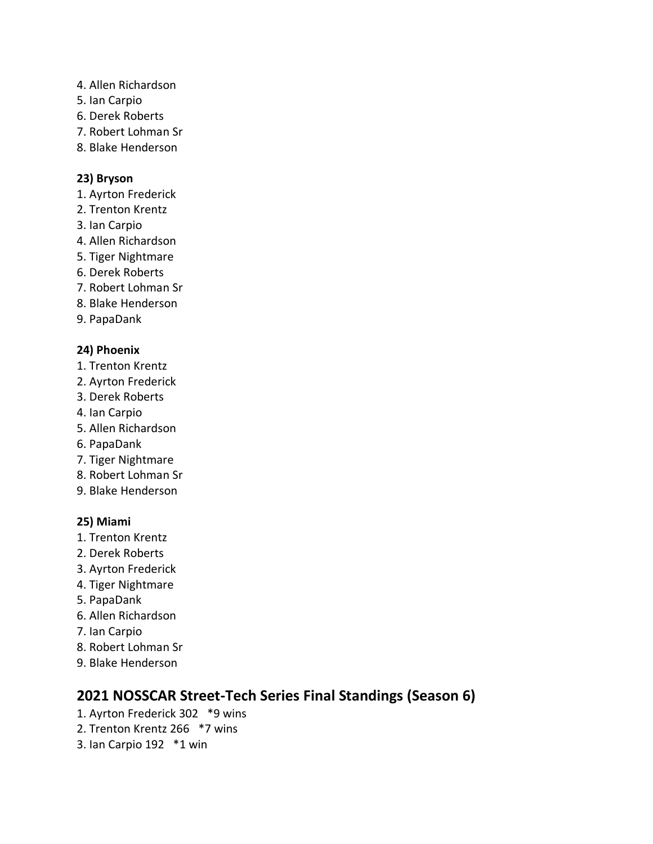- 4. Allen Richardson
- 5. Ian Carpio
- 6. Derek Roberts
- 7. Robert Lohman Sr
- 8. Blake Henderson

# **23) Bryson**

- 1. Ayrton Frederick
- 2. Trenton Krentz
- 3. Ian Carpio
- 4. Allen Richardson
- 5. Tiger Nightmare
- 6. Derek Roberts
- 7. Robert Lohman Sr
- 8. Blake Henderson
- 9. PapaDank

# **24) Phoenix**

- 1. Trenton Krentz
- 2. Ayrton Frederick
- 3. Derek Roberts
- 4. Ian Carpio
- 5. Allen Richardson
- 6. PapaDank
- 7. Tiger Nightmare
- 8. Robert Lohman Sr
- 9. Blake Henderson

# **25) Miami**

- 1. Trenton Krentz
- 2. Derek Roberts
- 3. Ayrton Frederick
- 4. Tiger Nightmare
- 5. PapaDank
- 6. Allen Richardson
- 7. Ian Carpio
- 8. Robert Lohman Sr
- 9. Blake Henderson

# **2021 NOSSCAR Street-Tech Series Final Standings (Season 6)**

- 1. Ayrton Frederick 302 \*9 wins
- 2. Trenton Krentz 266 \*7 wins
- 3. Ian Carpio 192 \*1 win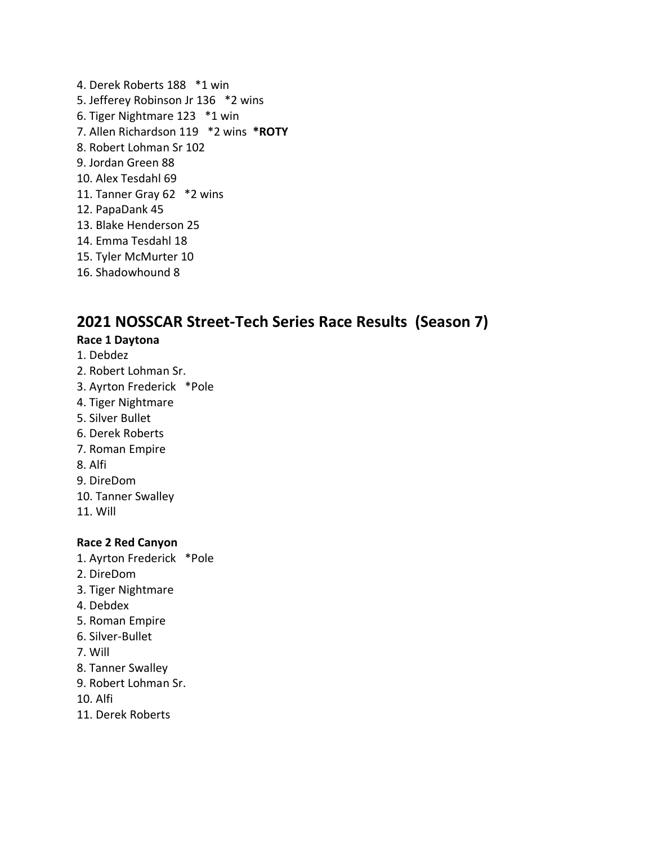4. Derek Roberts 188 \*1 win 5. Jefferey Robinson Jr 136 \*2 wins 6. Tiger Nightmare 123 \*1 win 7. Allen Richardson 119 \*2 wins **\*ROTY** 8. Robert Lohman Sr 102 9. Jordan Green 88 10. Alex Tesdahl 69 11. Tanner Gray 62 \*2 wins 12. PapaDank 45 13. Blake Henderson 25 14. Emma Tesdahl 18 15. Tyler McMurter 10 16. Shadowhound 8

# **2021 NOSSCAR Street-Tech Series Race Results (Season 7)**

#### **Race 1 Daytona**

- 1. Debdez
- 2. Robert Lohman Sr.
- 3. Ayrton Frederick \*Pole
- 4. Tiger Nightmare
- 5. Silver Bullet
- 6. Derek Roberts
- 7. Roman Empire
- 8. Alfi
- 9. DireDom
- 10. Tanner Swalley
- 11. Will

#### **Race 2 Red Canyon**

- 1. Ayrton Frederick \*Pole
- 2. DireDom
- 3. Tiger Nightmare
- 4. Debdex
- 5. Roman Empire
- 6. Silver-Bullet
- 7. Will
- 8. Tanner Swalley
- 9. Robert Lohman Sr.
- 10. Alfi
- 11. Derek Roberts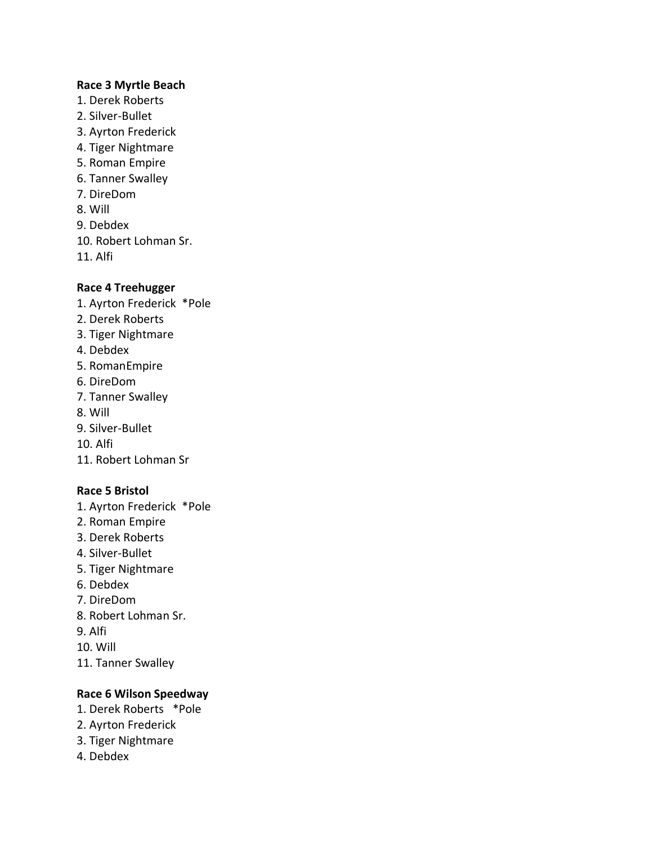#### **Race 3 Myrtle Beach**

- 1. Derek Roberts
- 2. Silver-Bullet
- 3. Ayrton Frederick
- 4. Tiger Nightmare
- 5. Roman Empire
- 6. Tanner Swalley
- 7. DireDom
- 8. Will
- 9. Debdex

10. Robert Lohman Sr.

11. Alfi

#### **Race 4 Treehugger**

- 1. Ayrton Frederick \*Pole
- 2. Derek Roberts
- 3. Tiger Nightmare
- 4. Debdex
- 5. RomanEmpire
- 6. DireDom
- 7. Tanner Swalley
- 8. Will
- 9. Silver-Bullet

10. Alfi

11. Robert Lohman Sr

# **Race 5 Bristol**

- 1. Ayrton Frederick \*Pole
- 2. Roman Empire
- 3. Derek Roberts
- 4. Silver-Bullet
- 5. Tiger Nightmare
- 6. Debdex
- 7. DireDom
- 8. Robert Lohman Sr.
- 9. Alfi
- 10. Will
- 11. Tanner Swalley

# **Race 6 Wilson Speedway**

- 1. Derek Roberts \*Pole
- 2. Ayrton Frederick
- 3. Tiger Nightmare
- 4. Debdex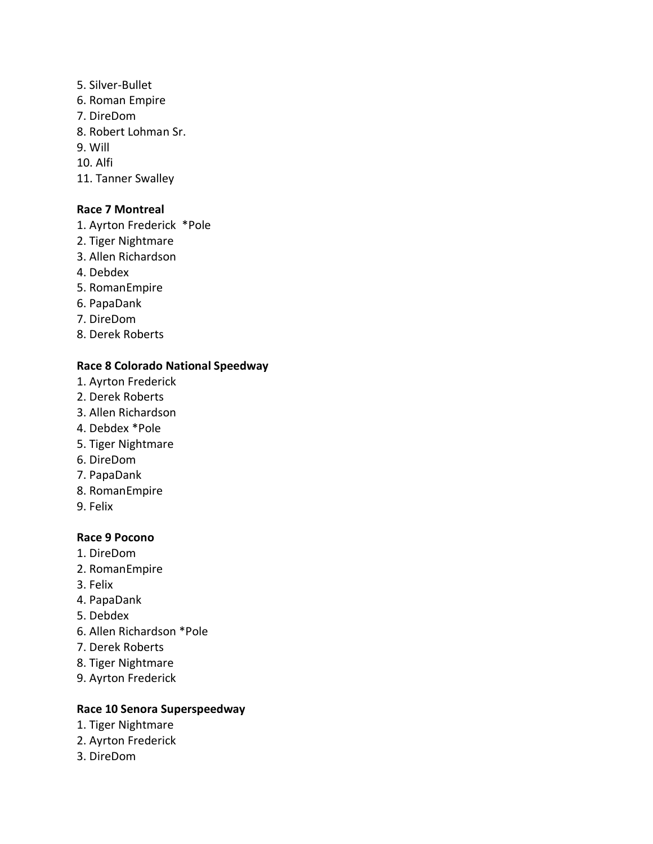- 5. Silver-Bullet 6. Roman Empire
- 7. DireDom
- 8. Robert Lohman Sr.
- 9. Will

10. Alfi

11. Tanner Swalley

## **Race 7 Montreal**

- 1. Ayrton Frederick \*Pole
- 2. Tiger Nightmare
- 3. Allen Richardson
- 4. Debdex
- 5. RomanEmpire
- 6. PapaDank
- 7. DireDom
- 8. Derek Roberts

# **Race 8 Colorado National Speedway**

- 1. Ayrton Frederick
- 2. Derek Roberts
- 3. Allen Richardson
- 4. Debdex \*Pole
- 5. Tiger Nightmare
- 6. DireDom
- 7. PapaDank
- 8. RomanEmpire
- 9. Felix

#### **Race 9 Pocono**

- 1. DireDom
- 2. RomanEmpire
- 3. Felix
- 4. PapaDank
- 5. Debdex
- 6. Allen Richardson \*Pole
- 7. Derek Roberts
- 8. Tiger Nightmare
- 9. Ayrton Frederick

# **Race 10 Senora Superspeedway**

- 1. Tiger Nightmare
- 2. Ayrton Frederick
- 3. DireDom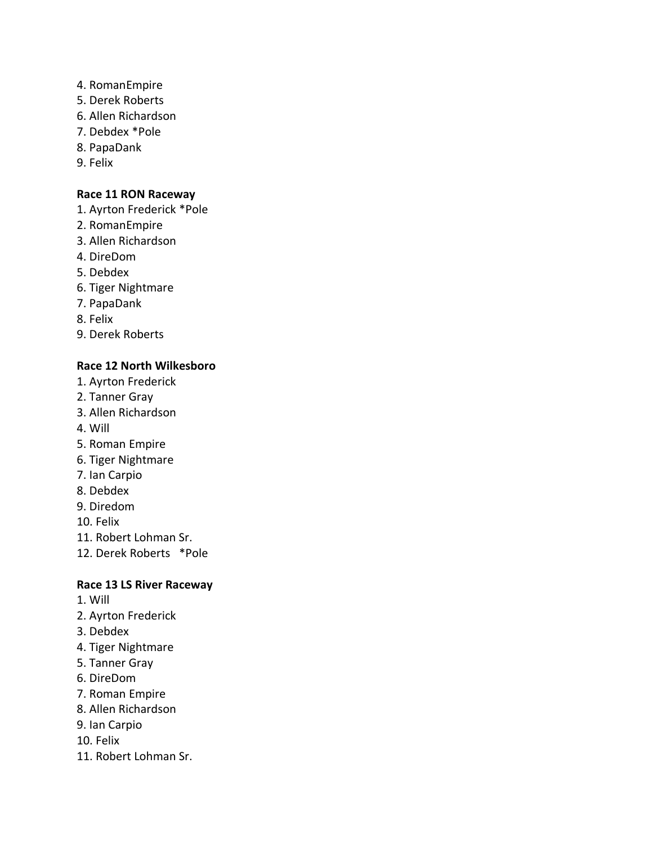- 4. RomanEmpire
- 5. Derek Roberts
- 6. Allen Richardson
- 7. Debdex \*Pole
- 8. PapaDank
- 9. Felix

#### **Race 11 RON Raceway**

- 1. Ayrton Frederick \*Pole
- 2. RomanEmpire
- 3. Allen Richardson
- 4. DireDom
- 5. Debdex
- 6. Tiger Nightmare
- 7. PapaDank
- 8. Felix
- 9. Derek Roberts

#### **Race 12 North Wilkesboro**

- 1. Ayrton Frederick
- 2. Tanner Gray
- 3. Allen Richardson
- 4. Will
- 5. Roman Empire
- 6. Tiger Nightmare
- 7. Ian Carpio
- 8. Debdex
- 9. Diredom
- 10. Felix
- 11. Robert Lohman Sr.
- 12. Derek Roberts \*Pole

#### **Race 13 LS River Raceway**

- 1. Will
- 2. Ayrton Frederick
- 3. Debdex
- 4. Tiger Nightmare
- 5. Tanner Gray
- 6. DireDom
- 7. Roman Empire
- 8. Allen Richardson
- 9. Ian Carpio
- 10. Felix
- 11. Robert Lohman Sr.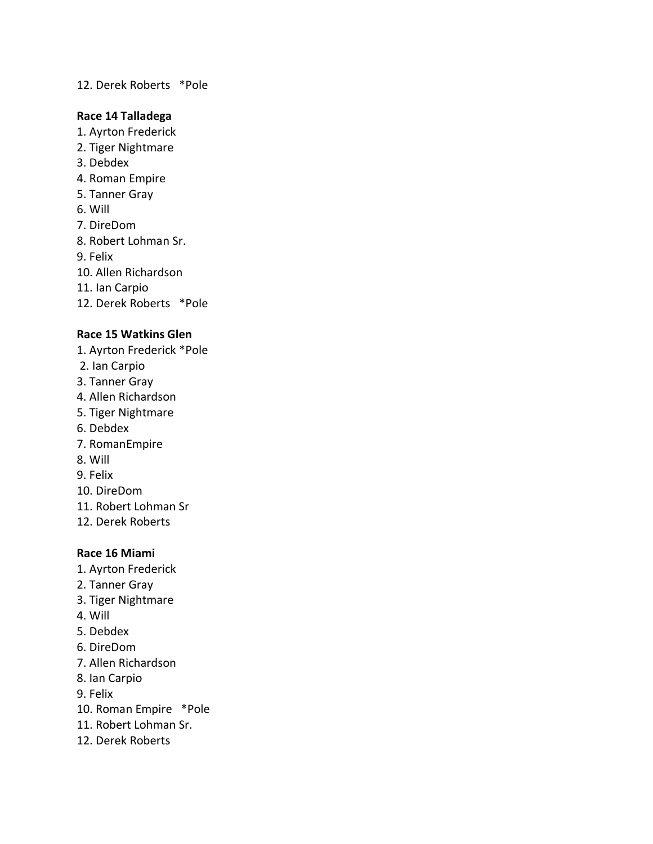#### 12. Derek Roberts \*Pole

#### **Race 14 Talladega**

- 1. Ayrton Frederick
- 2. Tiger Nightmare
- 3. Debdex
- 4. Roman Empire
- 5. Tanner Gray
- 6. Will
- 7. DireDom
- 8. Robert Lohman Sr.
- 9. Felix
- 10. Allen Richardson
- 11. Ian Carpio
- 12. Derek Roberts \*Pole

#### **Race 15 Watkins Glen**

- 1. Ayrton Frederick \*Pole
- 2. Ian Carpio
- 3. Tanner Gray
- 4. Allen Richardson
- 5. Tiger Nightmare
- 6. Debdex
- 7. RomanEmpire
- 8. Will
- 9. Felix
- 10. DireDom
- 11. Robert Lohman Sr
- 12. Derek Roberts

#### **Race 16 Miami**

- 1. Ayrton Frederick
- 2. Tanner Gray
- 3. Tiger Nightmare
- 4. Will
- 5. Debdex
- 6. DireDom
- 7. Allen Richardson
- 8. Ian Carpio
- 9. Felix
- 10. Roman Empire \*Pole
- 11. Robert Lohman Sr.
- 12. Derek Roberts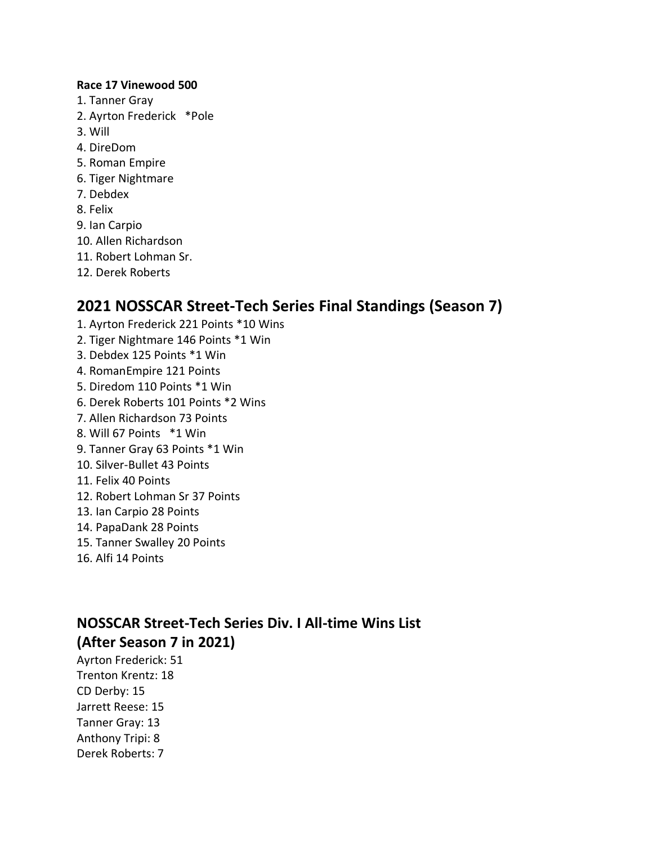#### **Race 17 Vinewood 500**

- 1. Tanner Gray
- 2. Ayrton Frederick \*Pole
- 3. Will
- 4. DireDom
- 5. Roman Empire
- 6. Tiger Nightmare
- 7. Debdex
- 8. Felix
- 9. Ian Carpio
- 10. Allen Richardson
- 11. Robert Lohman Sr.
- 12. Derek Roberts

# **2021 NOSSCAR Street-Tech Series Final Standings (Season 7)**

- 1. Ayrton Frederick 221 Points \*10 Wins
- 2. Tiger Nightmare 146 Points \*1 Win
- 3. Debdex 125 Points \*1 Win
- 4. RomanEmpire 121 Points
- 5. Diredom 110 Points \*1 Win
- 6. Derek Roberts 101 Points \*2 Wins
- 7. Allen Richardson 73 Points
- 8. Will 67 Points \*1 Win
- 9. Tanner Gray 63 Points \*1 Win
- 10. Silver-Bullet 43 Points
- 11. Felix 40 Points
- 12. Robert Lohman Sr 37 Points
- 13. Ian Carpio 28 Points
- 14. PapaDank 28 Points
- 15. Tanner Swalley 20 Points
- 16. Alfi 14 Points

# **NOSSCAR Street-Tech Series Div. I All-time Wins List (After Season 7 in 2021)**

Ayrton Frederick: 51 Trenton Krentz: 18 CD Derby: 15 Jarrett Reese: 15 Tanner Gray: 13 Anthony Tripi: 8 Derek Roberts: 7